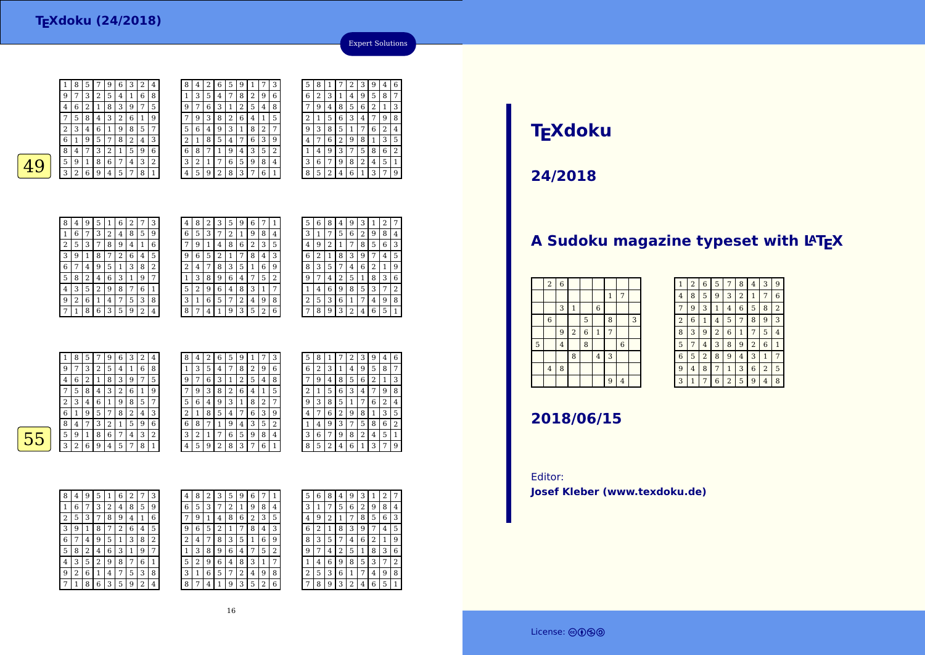$\frac{9}{2}$ 4 <sup>6</sup> <sup>2</sup> <sup>1</sup> <sup>8</sup> <sup>3</sup> <sup>9</sup> <sup>7</sup> <sup>5</sup> 7 <sup>5</sup> <sup>8</sup> <sup>4</sup> <sup>3</sup> <sup>2</sup> <sup>6</sup> <sup>1</sup> <sup>9</sup> 2 <sup>3</sup> <sup>4</sup> <sup>6</sup> <sup>1</sup> <sup>9</sup> <sup>8</sup> <sup>5</sup> <sup>7</sup> 6 $rac{6}{1}$  <sup>9</sup> <sup>5</sup> <sup>7</sup> <sup>8</sup> <sup>2</sup> <sup>4</sup> <sup>3</sup>  $\frac{8}{1}$  <sup>7</sup> <sup>3</sup> <sup>2</sup> <sup>1</sup> <sup>5</sup> <sup>9</sup> <sup>6</sup> 5 $\frac{5}{9}$  1  $49^{59186}$  $3 | 2 | 6 | 9 | 4 | 5 | 7 | 8 | 1$  $\frac{8}{4}$  <sup>9</sup> <sup>5</sup> <sup>1</sup> <sup>6</sup> <sup>2</sup> <sup>7</sup> <sup>3</sup> 1<sup>6</sup> <sup>7</sup> <sup>3</sup> <sup>2</sup> <sup>4</sup> <sup>8</sup> <sup>5</sup> <sup>9</sup>

| 1 | 8 | 5 |   | 9      | 6 | З | 2 | 4 | 8      | 4 |   | 6 | 5 | 9 |   |                | 3              |
|---|---|---|---|--------|---|---|---|---|--------|---|---|---|---|---|---|----------------|----------------|
| 9 | 7 | 3 | 2 | 5      | 4 | 1 | 6 | 8 |        | 3 | 5 | 4 | 7 | 8 | 2 | 9              | 6              |
| 4 | 6 | 2 | 1 | 8      | 3 | 9 | 7 | 5 | 9      | ⇁ | 6 | 3 | 1 | 2 | 5 | 4              | 8              |
| 7 | 5 | 8 | 4 | 3      | 2 | 6 | 1 | 9 |        | 9 | 3 | 8 | 2 | 6 | 4 | 1              | 5              |
| 2 | 3 | 4 | 6 | 1      | 9 | 8 | 5 | 7 | 5      | 6 | 4 | 9 | 3 | 1 | 8 | $\overline{2}$ | 7              |
| 6 | 1 | 9 | 5 | 7      | 8 | 2 | 4 | 3 | ∍<br>۷ |   | 8 | 5 | 4 | 7 | 6 | 3              | 9              |
| 8 | 4 | 7 | 3 | ∍<br>∠ | 1 | 5 | 9 | 6 | 6      | 8 |   |   | 9 | 4 | 3 | 5              | $\overline{2}$ |
| 5 | 9 | 1 | 8 | 6      | 7 | 4 | 3 | 2 | 3      | 2 | 1 | 7 | 6 | 5 | 9 | 8              | 4              |
| 3 | 2 | 6 | 9 | 4      | 5 | 7 | 8 | 1 | 4      | 5 | 9 | n | 8 | 3 | 7 | 6              | 1              |
|   |   |   |   |        |   |   |   |   |        |   |   |   |   |   |   |                |                |

|  | 5              | 8 | 1 | 7              | 2           | З           | 9           | 4 | 6 |
|--|----------------|---|---|----------------|-------------|-------------|-------------|---|---|
|  | 6              | 2 | 3 | 1              | 4           | 9           | 5           | 8 | 7 |
|  | 7              | 9 | 4 | 8              | 5           | 6           | 2           | 1 | 3 |
|  | $\overline{2}$ | 1 | 5 | 6              | 3           | 4           | 7           | 9 | 8 |
|  | 9              | 3 | 8 | 5              | $\mathbf 1$ | 7           | 6           | 2 | 4 |
|  | 4              | 7 | 6 | $\overline{2}$ | 9           | 8           | $\mathbf 1$ | 3 | 5 |
|  | 1              | 4 | 9 | 3              | 7           | 5           | 8           | 6 | 2 |
|  | 3              | 6 | 7 | 9              | 8           | 2           | 4           | 5 | 1 |
|  | 8              | 5 | 2 | 4              | 6           | $\mathbf 1$ | 3           | 7 | 9 |
|  |                |   |   |                |             |             |             |   |   |

Expert Solutions

| 8 | 4 | 9 | 5              | 1 | 6 | $\overline{2}$ | 7              | 3 |
|---|---|---|----------------|---|---|----------------|----------------|---|
| 1 | 6 | 7 | 3              | 2 | 4 | 8              | 5              | 9 |
| 2 | 5 | 3 | 7              | 8 | 9 | 4              | 1              | 6 |
| 3 | 9 | 1 | 8              | 7 | 2 | 6              | 4              | 5 |
| 6 | 7 | 4 | 9              | 5 | 1 | 3              | 8              | 2 |
| 5 | 8 | 2 | 4              | 6 | 3 | 1              | 9              | 7 |
| 4 | 3 | 5 | $\overline{2}$ | 9 | 8 | 7              | 6              | 1 |
| 9 | 2 | 6 | 1              | 4 | 7 | 5              | 3              | 8 |
| 7 | 1 | 8 | 6              | 3 | 5 | 9              | $\overline{2}$ | 4 |

| 4 | 8 | 2 | 3              | 5 | 9 | 6 | 7              | 1 |  |
|---|---|---|----------------|---|---|---|----------------|---|--|
| 6 | 5 | 3 | 7              | 2 | 1 | 9 | 8              | 4 |  |
| 7 | 9 | 1 | 4              | 8 | 6 | 2 | 3              | 5 |  |
| 9 | 6 | 5 | $\overline{c}$ | 1 | 7 | 8 | 4              | 3 |  |
| 2 | 4 | 7 | 8              | 3 | 5 | 1 | 6              | 9 |  |
| 1 | 3 | 8 | 9              | 6 | 4 | 7 | 5              | 2 |  |
| 5 | 2 | 9 | 6              | 4 | 8 | 3 | 1              | 7 |  |
| 3 | 1 | 6 | 5              | 7 | 2 | 4 | 9              | 8 |  |
| 8 | 7 | 4 | 1              | 9 | 3 | 5 | $\overline{2}$ | 6 |  |

| 5 | 6 | 8 | 4 | 9 | 3 | 1 | 2 | 7 |
|---|---|---|---|---|---|---|---|---|
| 3 | 1 | 7 | 5 | 6 | 2 | 9 | 8 | 4 |
| 4 | 9 | 2 | 1 | 7 | 8 | 5 | 6 | 3 |
| 6 | 2 | 1 | 8 | 3 | 9 |   | 4 | 5 |
| 8 | 3 | 5 |   | 4 | 6 | 2 | 1 | 9 |
| 9 |   | 4 | 2 | 5 | 1 | 8 | 3 | 6 |
| 1 | 4 | 6 | 9 | 8 | 5 | 3 | 7 | 2 |
| 2 | 5 | 3 | 6 | 1 | 7 | 4 | 9 | 8 |
|   | 8 | 9 | 3 | 2 | 4 | 6 | 5 | 1 |
|   |   |   |   |   |   |   |   |   |

| 9 | 7 | 3 |   |   |        |   |   |                |        |   |   |   | 5 |   |   |   | 3 |
|---|---|---|---|---|--------|---|---|----------------|--------|---|---|---|---|---|---|---|---|
|   |   |   | 2 | 5 | 4      |   | 6 | 8              |        | 3 | 5 | 4 | 7 | 8 | ∍ | 9 | 6 |
| 4 | 6 | 2 | ı | 8 | 3      | 9 | ⇁ | 5              | 9      | 7 | 6 | 3 |   | 2 | 5 | 4 | 8 |
| ⇁ | 5 | 8 | 4 | 3 | ົ<br>∠ | 6 |   | 9              | 7      | 9 | 3 | 8 | 2 | 6 | 4 | 1 | 5 |
| ∍ | 3 | 4 | 6 |   | 9      | 8 | 5 | 7              | 5      | 6 | 4 | 9 | 3 | 1 | 8 | 2 | 7 |
| 6 | 1 | 9 | 5 | ⇁ | 8      | 2 | 4 | 3              | ∍<br>∠ |   | 8 | 5 | 4 | 7 | 6 | 3 | 9 |
| 8 | 4 | 7 | 3 | ר |        | 5 | 9 | 6              | 6      | 8 | 7 |   | 9 | 4 | 3 | 5 | 2 |
| 5 | 9 |   | 8 | 6 | 7      | 4 | 3 | $\overline{2}$ | 3      | 2 | 1 | 7 | 6 | 5 | 9 | 8 | 4 |
| 3 | 2 | 6 | 9 | 4 | 5      | 7 | 8 | 1              | 4      | 5 | 9 | 2 | 8 | 3 | ⇁ | 6 | 1 |
|   |   |   |   |   |        |   |   |                |        |   |   |   |   |   |   |   |   |

| 5 | 8 | 1 |   | 2            | 3 | 9 | 4            | 6 |
|---|---|---|---|--------------|---|---|--------------|---|
| 6 | 2 | 3 | 1 | 4            | 9 | 5 | 8            | 7 |
|   | 9 | 4 | 8 | 5            | 6 | 2 | $\mathbf{1}$ | 3 |
| 2 | 1 | 5 | 6 | 3            | 4 |   | 9            | 8 |
| 9 | 3 | 8 | 5 | $\mathbf{1}$ |   | 6 | 2            | 4 |
| 4 | 7 | 6 | 2 | 9            | 8 | 1 | 3            | 5 |
| 1 | 4 | 9 | 3 | 7            | 5 | 8 | 6            | 2 |
| 3 | 6 | 7 | 9 | 8            | 2 | 4 | 5            | 1 |
| 8 | 5 | 2 | 4 | 6            | 1 | 3 | 7            | 9 |

 $\overline{55}$ 

| 8 | 4 | 9 | 5 | 1 | 6 | $\overline{2}$ | 7 | 3 |  |
|---|---|---|---|---|---|----------------|---|---|--|
| 1 | 6 | 7 | 3 | 2 | 4 | 8              | 5 | 9 |  |
| 2 | 5 | 3 | 7 | 8 | 9 | 4              | 1 | 6 |  |
| 3 | 9 | 1 | 8 | 7 | 2 | 6              | 4 | 5 |  |
| 6 | 7 | 4 | 9 | 5 | 1 | 3              | 8 | 2 |  |
| 5 | 8 | 2 | 4 | 6 | 3 | 1              | 9 | 7 |  |
| 4 | 3 | 5 | 2 | 9 | 8 | 7              | 6 | 1 |  |
| 9 | 2 | 6 | 1 | 4 | 7 | 5              | 3 | 8 |  |
| 7 | 1 | 8 | 6 | 3 | 5 | 9              | 2 | 4 |  |

| 4              | 8 | 2 | 3              | 5 | g | 6 |   |   |  | 5 |
|----------------|---|---|----------------|---|---|---|---|---|--|---|
| 6              | 5 | 3 |                | 2 | 1 | 9 | 8 | 4 |  | 3 |
| 7              | 9 | 1 | 4              | 8 | 6 | 2 | 3 | 5 |  | 4 |
| 9              | 6 | 5 | $\overline{2}$ |   | 7 | 8 | 4 | 3 |  | 6 |
| $\overline{2}$ | 4 | 7 | 8              | 3 | 5 | 1 | 6 | 9 |  | 8 |
| $\mathbf{1}$   | 3 | 8 | 9              | 6 | 4 |   | 5 | 2 |  | g |
| 5              | 2 | 9 | 6              | 4 | 8 | 3 | 1 | 7 |  | 1 |
| 3              | 1 | 6 | 5              | 7 | 2 | 4 | 9 | 8 |  | 2 |
| 8              | 7 | 4 |                | 9 | 3 | 5 | 2 | 6 |  | 7 |
|                |   |   |                |   |   |   |   |   |  |   |

| 5 | 6 | 8 | 4 | 9              | 3 | 1 | 2 |                |
|---|---|---|---|----------------|---|---|---|----------------|
| 3 | 1 | 7 | 5 | 6              | 2 | 9 | 8 | 4              |
| 4 | 9 | 2 | 1 | 7              | 8 | 5 | 6 | 3              |
| 6 | 2 | 1 | 8 | 3              | 9 |   | 4 | 5              |
| 8 | 3 | 5 | 7 | $\overline{4}$ | 6 | 2 | 1 | 9              |
| 9 | 7 | 4 | 2 | 5              | 1 | 8 | 3 | 6              |
| 1 | 4 | 6 | 9 | 8              | 5 | 3 | 7 | $\overline{2}$ |
| 2 | 5 | 3 | 6 | 1              | 7 | 4 | 9 | 8              |
|   | 8 | 9 | 3 | 2              | 4 | 6 | 5 | 1              |

# **TEXdoku**

**24/2018**

## **A Sudoku magazine typeset with LATEX**

| $\overline{2}$   | $\overline{6}$ |                         |                |                |                |                |   |
|------------------|----------------|-------------------------|----------------|----------------|----------------|----------------|---|
|                  |                |                         |                |                | $\mathbf{1}$   | 7              |   |
|                  | 3              | $\mathbf{1}$            |                | $\,$ 6 $\,$    |                |                |   |
| $\boldsymbol{6}$ |                |                         | 5              |                | 8              |                | 3 |
|                  | 9              | $\overline{\mathbf{c}}$ | $\overline{6}$ | $\,1\,$        | $\overline{7}$ |                |   |
|                  | $\overline{4}$ |                         | 8              |                |                | $\overline{6}$ |   |
|                  |                | 8                       |                | $\overline{4}$ | 3              |                |   |
| $\bf{4}$         | 8              |                         |                |                |                |                |   |
|                  |                |                         |                |                | 9              | $\overline{4}$ |   |
|                  |                |                         |                |                |                |                |   |

| $\mathbf{1}$   | $\overline{2}$ | 6              | 5              | 7              | 8              | 4              | 3              | 9              |
|----------------|----------------|----------------|----------------|----------------|----------------|----------------|----------------|----------------|
| 4              | 8              | 5              | 9              | 3              | $\overline{2}$ | 1              | 7              | 6              |
| 7              | 9              | 3              | 1              | 4              | 6              | 5              | 8              | $\overline{2}$ |
| $\overline{2}$ | 6              | 1              | 4              | 5              | 7              | 8              | 9              | 3              |
| 8              | 3              | 9              | $\overline{2}$ | 6              | 1              | 7              | 5              | 4              |
| 5              | 7              | 4              | 3              | 8              | 9              | $\overline{2}$ | 6              | 1              |
| 6              | 5              | $\overline{2}$ | 8              | 9              | 4              | 3              | 1              | 7              |
| 9              | $\overline{4}$ | 8              | 7              | $\mathbf{1}$   | 3              | 6              | $\overline{2}$ | 5              |
| 3              | $\overline{1}$ | 7              | 6              | $\overline{2}$ | 5              | 9              | 4              | 8              |

## **2018/06/15**

Editor:**Josef Kleber (www.texdoku.de)**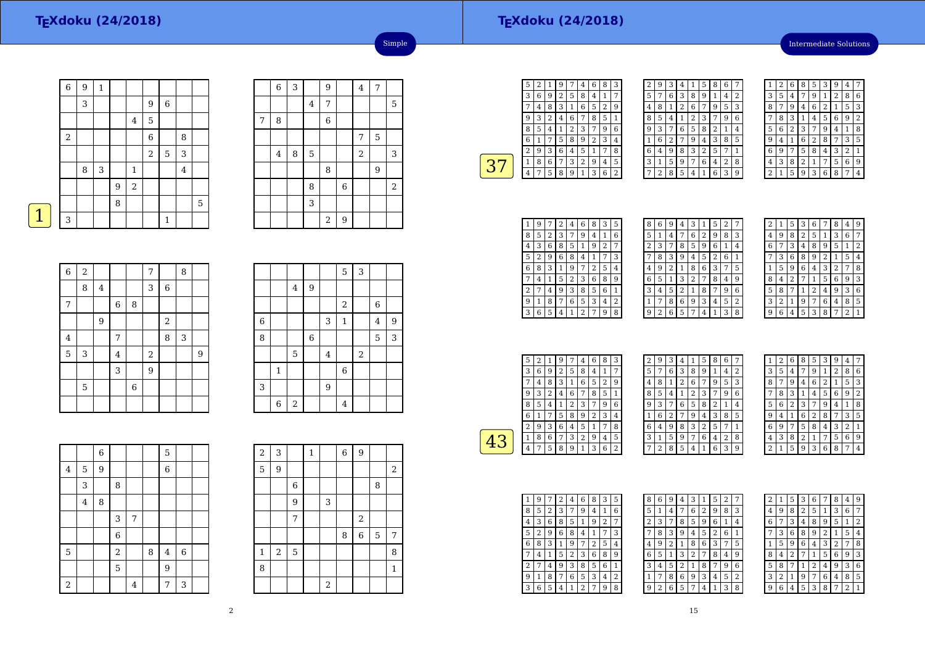## **TEXdoku (24/2018)**

Intermediate Solutions

| 6                | 9 | 1          |   |              |             |             |         |             |
|------------------|---|------------|---|--------------|-------------|-------------|---------|-------------|
|                  | 3 |            |   |              | 9           | 6           |         |             |
|                  |   |            |   | 4            | 5           |             |         |             |
| $\boldsymbol{2}$ |   |            |   |              | $\,$ 6 $\,$ |             | 8       |             |
|                  |   |            |   |              | $\sqrt{2}$  | $\mathbf 5$ | 3       |             |
|                  | 8 | $\sqrt{3}$ |   | $\mathbf{1}$ |             |             | $\bf 4$ |             |
|                  |   |            | 9 | $\sqrt{2}$   |             |             |         |             |
|                  |   |            | 8 |              |             |             |         | $\mathbf 5$ |
| 3                |   |            |   |              |             | 1           |         |             |

|   | $\overline{6}$ | 3 |                | 9          |             | $\overline{4}$ | 7 |       |
|---|----------------|---|----------------|------------|-------------|----------------|---|-------|
|   |                |   | $\overline{4}$ | 7          |             |                |   | 5     |
| 7 | 8              |   |                | 6          |             |                |   |       |
|   |                |   |                |            |             | 7              | 5 |       |
|   | $\bf 4$        | 8 | $\mathbf 5$    |            |             | $\overline{2}$ |   | 3     |
|   |                |   |                | 8          |             |                | 9 |       |
|   |                |   | 8              |            | $\,$ 6 $\,$ |                |   | $\,2$ |
|   |                |   | 3              |            |             |                |   |       |
|   |                |   |                | $\sqrt{2}$ | 9           |                |   |       |

Simple

| $\mathcal{L}^{\text{max}}_{\text{max}}$ and $\mathcal{L}^{\text{max}}_{\text{max}}$ and $\mathcal{L}^{\text{max}}_{\text{max}}$ |  |
|---------------------------------------------------------------------------------------------------------------------------------|--|
|                                                                                                                                 |  |

| $\overline{6}$ | $\overline{2}$ |                         |             |             | $\overline{7}$ |                  | 8 |   |
|----------------|----------------|-------------------------|-------------|-------------|----------------|------------------|---|---|
|                | 8              | $\overline{\mathbf{4}}$ |             |             | 3              | $\boldsymbol{6}$ |   |   |
| 7              |                |                         | $\,$ 6 $\,$ | 8           |                |                  |   |   |
|                |                | 9                       |             |             |                | $\overline{2}$   |   |   |
| $\overline{4}$ |                |                         | 7           |             |                | 8                | 3 |   |
| 5              | 3              |                         | 4           |             | $\,2$          |                  |   | 9 |
|                |                |                         | 3           |             | 9              |                  |   |   |
|                | 5              |                         |             | $\,$ 6 $\,$ |                |                  |   |   |
|                |                |                         |             |             |                |                  |   |   |

|                |              |                |                |                | $\mathbf 5$    | 3              |                |   |
|----------------|--------------|----------------|----------------|----------------|----------------|----------------|----------------|---|
|                |              | $\overline{4}$ | 9              |                |                |                |                |   |
|                |              |                |                |                | $\,2$          |                | $\,$ 6 $\,$    |   |
| $\overline{6}$ |              |                |                | 3              | $\mathbf{1}$   |                | $\overline{4}$ | 9 |
| 8              |              |                | $\overline{6}$ |                |                |                | 5              | 3 |
|                |              | 5              |                | $\overline{4}$ |                | $\overline{2}$ |                |   |
|                | $\mathbf{1}$ |                |                |                | $\overline{6}$ |                |                |   |
| 3              |              |                |                | 9              |                |                |                |   |
|                | 6            | $\,2$          |                |                | $\overline{4}$ |                |                |   |

|                  |                | $\overline{6}$ |                |   |   | 5           |         |  |
|------------------|----------------|----------------|----------------|---|---|-------------|---------|--|
| 4                | 5              | 9              |                |   |   | $\,$ 6 $\,$ |         |  |
|                  | 3              |                | 8              |   |   |             |         |  |
|                  | $\overline{4}$ | 8              |                |   |   |             |         |  |
|                  |                |                | 3              | 7 |   |             |         |  |
|                  |                |                | 6              |   |   |             |         |  |
| 5                |                |                | $\overline{a}$ |   | 8 | $\bf 4$     | $\,6\,$ |  |
|                  |                |                | 5              |   |   | 9           |         |  |
| $\boldsymbol{2}$ |                |                |                | 4 |   | 7           | 3       |  |

| 2            | 3     |   | $\mathbf{1}$ |   | 6<br>ı | 9                       |   |              |
|--------------|-------|---|--------------|---|--------|-------------------------|---|--------------|
| 5            | 9     |   |              |   |        |                         |   | $\,2$        |
|              |       | 6 |              |   |        |                         | 8 |              |
|              |       | 9 |              | 3 |        |                         |   |              |
|              |       | 7 |              |   |        | $\overline{\mathbf{c}}$ |   |              |
|              |       |   |              |   | 8      | 6                       | 5 | 7            |
| $\mathbf{1}$ | $\,2$ | 5 |              |   |        |                         |   | 8            |
| 8            |       |   |              |   |        |                         |   | $\mathbf{1}$ |
|              |       |   |              | 2 |        |                         |   |              |

┯

| 5 | 2 | 1 | 9 | 7 | 4 | 6 | 8              | 3 |
|---|---|---|---|---|---|---|----------------|---|
| 3 | 6 | 9 | 2 | 5 | 8 | 4 | 1              | 7 |
| 7 | 4 | 8 | 3 | 1 | 6 | 5 | $\overline{2}$ | 9 |
| 9 | 3 | 2 | 4 | 6 | 7 | 8 | 5              | 1 |
| 8 | 5 | 4 | 1 | 2 | 3 | 7 | 9              | 6 |
| 6 | 1 | 7 | 5 | 8 | 9 | 2 | 3              | 4 |
| 2 | 9 | 3 | 6 | 4 | 5 | 1 | 7              | 8 |
| 1 | 8 | 6 | 7 | 3 | 2 | 9 | 4              | 5 |
| 4 | 7 | 5 | 8 | 9 | 1 | 3 | 6              | 2 |
|   |   |   |   |   |   |   |                |   |

| 2 | 9 | 3 | 4 | 1 | 5 | 8 | 6 |   |
|---|---|---|---|---|---|---|---|---|
| 5 | 7 | 6 | 3 | 8 | 9 | 1 | 4 | 2 |
| 4 | 8 | 1 | 2 | 6 | 7 | 9 | 5 | 3 |
| 8 | 5 | 4 | 1 | 2 | 3 | 7 | 9 | 6 |
| 9 | 3 |   | 6 | 5 | 8 | 2 | 1 | 4 |
|   | 6 | 2 |   | 9 | 4 | 3 | 8 | 5 |
| 6 | 4 | 9 | 8 | 3 | 2 | 5 | 7 | 1 |
| 3 | 1 | 5 | 9 | 7 | 6 | 4 | 2 | 8 |
|   | 2 | 8 | 5 | 4 |   | 6 | 3 | q |

|   | 2 | 6 | 8              | 5              | 3 | g | 4              |       |
|---|---|---|----------------|----------------|---|---|----------------|-------|
| 3 | 5 | 4 |                | 9              | 1 | 2 | 8              | 6     |
| 8 | 7 | 9 | 4              | 6              | 2 | 1 | 5              | 3     |
|   | 8 | 3 | 1              | 4              | 5 | 6 | 9              | 2     |
| 5 | 6 | 2 | 3              | 7              | g | 4 | 1              | 8     |
| g | 4 | 1 | 6              | $\overline{2}$ | 8 | 7 | 3              | 5     |
| 6 | 9 | 7 | 5              | 8              | 4 | 3 | $\overline{2}$ | 1     |
| 4 | 3 | 8 | $\overline{2}$ | 1              | 7 | 5 | 6              | $9\,$ |
| 2 | 1 | 5 | 9              | 3              | 6 | 8 | 7              | 4     |

|   | 9              | 7 | 2 | 4 | 6              | 8 | 3 | 5 |
|---|----------------|---|---|---|----------------|---|---|---|
| 8 | 5              | 2 | 3 | 7 | 9              | 4 | 1 | 6 |
| 4 | 3              | 6 | 8 | 5 | 1              | 9 | 2 | 7 |
| 5 | $\overline{2}$ | 9 | 6 | 8 | 4              | 1 | 7 | 3 |
| 6 | 8              | 3 | 1 | 9 | 7              | 2 | 5 | 4 |
| 7 | 4              | 1 | 5 | 2 | 3              | 6 | 8 | 9 |
| 2 | 7              | 4 | 9 | 3 | 8              | 5 | 6 | 1 |
| 9 | 1              | 8 | 7 | 6 | 5              | 3 | 4 | 2 |
| 3 | 6              | 5 | 4 | 1 | $\overline{2}$ |   | 9 | 8 |

| 8 | 6 | 9 | 4              | 3              | 1 | 5              | 2 |              |
|---|---|---|----------------|----------------|---|----------------|---|--------------|
| 5 | 1 | 4 | 7              | 6              | 2 | 9              | 8 | 3            |
| 2 | 3 | 7 | 8              | 5              | 9 | 6              | 1 | 4            |
| 7 | 8 | 3 | 9              | $\overline{4}$ | 5 | $\overline{2}$ | 6 | $\mathbf{1}$ |
| 4 | 9 | 2 | 1              | 8              | 6 | 3              | 7 | 5            |
| 6 | 5 | 1 | 3              | 2              | 7 | 8              | 4 | 9            |
| 3 | 4 | 5 | $\overline{2}$ | 1              | 8 | 7              | 9 | 6            |
| 1 | 7 | 8 | 6              | 9              | 3 | 4              | 5 | 2            |
|   |   |   |                |                |   |                |   |              |
| 9 | 2 | 6 | 5              | 7              | 4 | 1              | 3 | 8            |

 $\blacksquare$ 

| $\overline{c}$ |   | 5 | 3              | 6 |   | 8 | 4              | g |
|----------------|---|---|----------------|---|---|---|----------------|---|
| 4              | 9 | 8 | $\overline{2}$ | 5 | 1 | 3 | 6              | 7 |
| 6              | 7 | 3 | 4              | 8 | 9 | 5 | 1              | 2 |
|                | 3 | 6 | 8              | 9 | 2 | 1 | 5              | 4 |
| 1              | 5 | 9 | 6              | 4 | 3 | 2 | 7              | 8 |
| 8              | 4 | 2 | 7              | 1 | 5 | 6 | 9              | 3 |
| 5              | 8 |   | 1              | 2 | 4 | 9 | 3              | 6 |
| 3              | 2 | 1 | 9              | 7 | 6 | 4 | 8              | 5 |
| g              | 6 | 4 | 5              | 3 | 8 | 7 | $\overline{2}$ | 1 |

| 5 | 2 | 1 | g              | 7 | 4 | 6 | 8 | 3 |  |
|---|---|---|----------------|---|---|---|---|---|--|
| 3 | 6 | 9 | $\overline{c}$ | 5 | 8 | 4 | 1 | 7 |  |
|   | 4 | 8 | 3              | 1 | 6 | 5 | 2 | 9 |  |
|   | 3 | 2 | 4              | 6 | 7 | 8 | 5 | 1 |  |
| 8 | 5 | 4 | 1              | 2 | 3 | 7 | 9 | 6 |  |
| 6 | 1 | 7 | 5              | 8 | 9 | 2 | 3 | 4 |  |
| 2 | g | 3 | 6              | 4 | 5 |   |   | 8 |  |
| 1 | 8 | 6 | 7              | 3 | 2 | 9 | 4 | 5 |  |
|   |   | 5 | 8              | 9 | 1 | 3 | 6 | 2 |  |
|   |   |   |                |   |   |   |   |   |  |

| 2 | 9 | 3 | 4 | $\mathbf{1}$ | 5 | 8              | 6 | 7 |  |
|---|---|---|---|--------------|---|----------------|---|---|--|
| 5 |   | 6 | 3 | 8            | 9 | 1              | 4 | 2 |  |
| 4 | 8 | 1 | 2 | 6            | 7 | 9              | 5 | 3 |  |
| 8 | 5 | 4 | 1 | 2            | 3 | 7              | 9 | 6 |  |
| 9 | 3 | 7 | 6 | 5            | 8 | $\overline{2}$ | 1 | 4 |  |
| 1 | 6 | 2 | 7 | 9            | 4 | 3              | 8 | 5 |  |
| 6 | 4 | 9 | 8 | 3            | 2 | 5              | 7 | 1 |  |
| 3 | 1 | 5 | 9 | 7            | 6 | 4              | 2 | 8 |  |
|   | 2 | 8 | 5 | 4            | 1 | 6              | 3 | 9 |  |

|   | 2 | 6              | 8              | 5                       | 3              | 9 | 4              |                |
|---|---|----------------|----------------|-------------------------|----------------|---|----------------|----------------|
| З | 5 | 4              | 7              | 9                       | 1              | 2 | 8              | 6              |
| 8 |   | 9              | 4              | 6                       | $\overline{2}$ | 1 | 5              | 3              |
|   | 8 | 3              | 1              | $\overline{\mathbf{4}}$ | 5              | 6 | 9              | $\overline{2}$ |
| 5 | 6 | $\overline{2}$ | 3              | 7                       | 9              | 4 | 1              | 8              |
| 9 | 4 | 1              | 6              | 2                       | 8              | 7 | 3              | 5              |
| 6 | 9 | 7              | 5              | 8                       | 4              | 3 | $\overline{2}$ | 1              |
| 4 | 3 | 8              | $\overline{2}$ | 1                       | 7              | 5 | 6              | 9              |
|   | 1 | 5              | 9              | 3                       | 6              | 8 | 7              | 4              |

| 1              | 9 |   | 2 | 4              | 6 | 8 | 3 | 5 |
|----------------|---|---|---|----------------|---|---|---|---|
| 8              | 5 | 2 | 3 | 7              | 9 | 4 | 1 | 6 |
| 4              | 3 | 6 | 8 | 5              | 1 | 9 | 2 | 7 |
| 5              | 2 | 9 | 6 | 8              | 4 | 1 | 7 | 3 |
| 6              | 8 | 3 | 1 | 9              | 7 | 2 | 5 | 4 |
| 7              | 4 | 1 | 5 | $\overline{2}$ | 3 | 6 | 8 | 9 |
| $\overline{2}$ | 7 | 4 | 9 | 3              | 8 | 5 | 6 | 1 |
| 9              | 1 | 8 | 7 | 6              | 5 | 3 | 4 | 2 |
| 3              | 6 | 5 | 4 | 1              | 2 | 7 | 9 | 8 |

| 8 | 6              | 9 | 4 | 3 | 1 | 5              | 2 |                |
|---|----------------|---|---|---|---|----------------|---|----------------|
| 5 | 1              | 4 | 7 | 6 | 2 | 9              | 8 | 3              |
| 2 | 3              | 7 | 8 | 5 | 9 | 6              | 1 | 4              |
|   | 8              | 3 | 9 | 4 | 5 | $\overline{2}$ | 6 | 1              |
| 4 | 9              | 2 | 1 | 8 | 6 | 3              | 7 | 5              |
| 6 | 5              | 1 | 3 | 2 | 7 | 8              | 4 | 9              |
| 3 | 4              | 5 | 2 | 1 | 8 | 7              | 9 | 6              |
| 1 | 7              | 8 | 6 | 9 | 3 | 4              | 5 | $\overline{2}$ |
| g | $\overline{2}$ | 6 | 5 | 7 | 4 | 1              | 3 | 8              |

| 2 | 1 | 5              | 3 | 6 |                | 8              | 4              | 9 |
|---|---|----------------|---|---|----------------|----------------|----------------|---|
| 4 | 9 | 8              | 2 | 5 | 1              | 3              | 6              | 7 |
| 6 | 7 | 3              | 4 | 8 | 9              | 5              | 1              | 2 |
| 7 | 3 | 6              | 8 | 9 | $\overline{2}$ | 1              | 5              | 4 |
| 1 | 5 | 9              | 6 | 4 | 3              | $\overline{2}$ | 7              | 8 |
| 8 | 4 | $\overline{c}$ | 7 | 1 | 5              | 6              | 9              | 3 |
| 5 | 8 | 7              | 1 | 2 | 4              | 9              | 3              | 6 |
| 3 | 2 | 1              | 9 | 7 | 6              | 4              | 8              | 5 |
| 9 | 6 | 4              | 5 | 3 | 8              | 7              | $\overline{2}$ | 1 |

г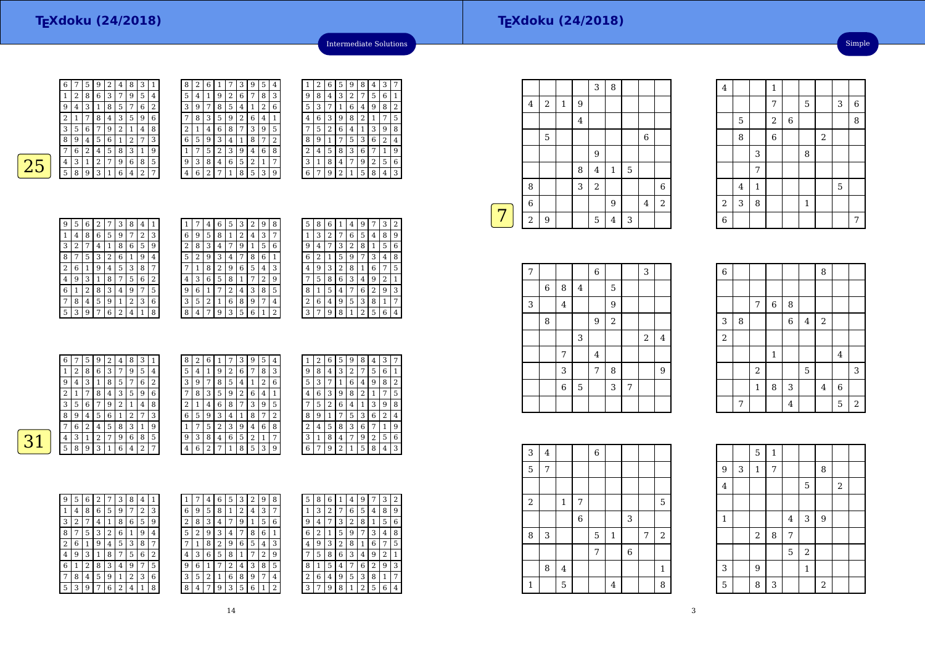| <b>CONTRACTOR</b>      |  |
|------------------------|--|
|                        |  |
| <b>Service Service</b> |  |
|                        |  |
| <b>Service Service</b> |  |
|                        |  |

| 6 |   | 5 | 9 | 2 | 4 | 8 | 3 | 1 | 8              |
|---|---|---|---|---|---|---|---|---|----------------|
| 1 | 2 | 8 | 6 | 3 | 7 | 9 | 5 | 4 | 5              |
| 9 | 4 | 3 | 1 | 8 | 5 | 7 | 6 | 2 | 3              |
| 2 | 1 | 7 | 8 | 4 | 3 | 5 | 9 | 6 | 7              |
| 3 | 5 | 6 | 7 | 9 | 2 | 1 | 4 | 8 | $\overline{2}$ |
| 8 | 9 | 4 | 5 | 6 | 1 | 2 | 7 | 3 | 6              |
|   | 6 | 2 | 4 | 5 | 8 | 3 | 1 | 9 |                |
| 4 | 3 | 1 | 2 | 7 | 9 | 6 | 8 | 5 | 9              |
| 5 | 8 | 9 | 3 | 1 | 6 | 4 | 2 | 7 | 4              |
|   |   |   |   |   |   |   |   |   |                |

| 8 | 2 | 6      |   |   | З              | 9 | 5 | 4 |                | 2 | 6 | 5 | 9              | 8 | 4 | 3 | 7 |
|---|---|--------|---|---|----------------|---|---|---|----------------|---|---|---|----------------|---|---|---|---|
| 5 | 4 | 1      | 9 | 2 | 6              | ⇁ | 8 | 3 | 9              | 8 | 4 | 3 | $\overline{2}$ | 7 | 5 | 6 | 1 |
| 3 | 9 | 7      | 8 | 5 | 4              |   | 2 | 6 | 5              | 3 | π |   | 6              | 4 | 9 | 8 | 2 |
| 7 | 8 | 3      | 5 | 9 | $\overline{2}$ | 6 | 4 | 1 | $\overline{4}$ | 6 | 3 | 9 | 8              | 2 |   | 7 | 5 |
| 2 | 1 | 4      | 6 | 8 | 7              | 3 | 9 | 5 | 7              | 5 | 2 | 6 | 4              | 1 | 3 | 9 | 8 |
| 6 | 5 | 9      | 3 | 4 |                | 8 | 7 | 2 | 8              | 9 |   | ⇁ | 5              | 3 | 6 | 2 | 4 |
| 1 | 7 | 5      | 2 | 3 | g              | 4 | 6 | 8 | 2              | 4 | 5 | 8 | 3              | 6 |   | 1 | 9 |
| 9 | 3 | 8      | 4 | 6 | 5              | 2 | 1 | 7 | 3              | 1 | 8 | 4 | 7              | 9 | 2 | 5 | 6 |
| 4 | 6 | ∍<br>∠ | − |   | 8              | 5 | 3 | 9 | 6              | 7 | g | ∍ |                | 5 | 8 | 4 | 3 |

|  | 9 | 8 | 4 | 3              | $\overline{2}$ | 7 | 5 | 6 | 1              |
|--|---|---|---|----------------|----------------|---|---|---|----------------|
|  | 5 | 3 | 7 | 1              | 6              | 4 | 9 | 8 | $\overline{2}$ |
|  | 4 | 6 | 3 | 9              | 8              | 2 | 1 | 7 | 5              |
|  |   | 5 | 2 | 6              | 4              | 1 | 3 | 9 | 8              |
|  | 8 | 9 | 1 |                | 5              | 3 | 6 | 2 | 4              |
|  | 2 | 4 | 5 | 8              | 3              | 6 | 7 | 1 | 9              |
|  | 3 | 1 | 8 | 4              | 7              | 9 | 2 | 5 | 6              |
|  | 6 | 7 | 9 | $\overline{2}$ | 1              | 5 | 8 | 4 | 3              |
|  |   |   |   |                |                |   |   |   |                |

Intermediate Solutions

|   |   | 6 | 2 | 7 | 3              | 8 | 4 | 1              |
|---|---|---|---|---|----------------|---|---|----------------|
| 1 | 4 | 8 | 6 | 5 | 9              | 7 | 2 | 3              |
| 3 | 2 | 7 | 4 | 1 | 8              | 6 | 5 | 9              |
| 8 | 7 | 5 | 3 | 2 | 6              | 1 | 9 | 4              |
| 2 | 6 | 1 | 9 | 4 | 5              | 3 | 8 | 7              |
| 4 | 9 | 3 | 1 | 8 | 7              | 5 | 6 | $\overline{2}$ |
| 6 | 1 | 2 | 8 | 3 | 4              | 9 | 7 | 5              |
| 7 | 8 | 4 | 5 | 9 | $\mathbf{1}$   | 2 | 3 | 6              |
| 5 | 3 | 9 | 7 | 6 | $\overline{2}$ | 4 | 1 | 8              |

| 1 |   | 4 | 6 | 5 | 3 | 2 | 9 | 8 |  |
|---|---|---|---|---|---|---|---|---|--|
| 6 | 9 | 5 | 8 | 1 | 2 | 4 | 3 | 7 |  |
| 2 | 8 | 3 | 4 | 7 | 9 | 1 | 5 | 6 |  |
| 5 | 2 | 9 | 3 | 4 | 7 | 8 | 6 | 1 |  |
| 7 | 1 | 8 | 2 | 9 | 6 | 5 | 4 | 3 |  |
| 4 | 3 | 6 | 5 | 8 | 1 | 7 | 2 | 9 |  |
| 9 | 6 | 1 | 7 | 2 | 4 | 3 | 8 | 5 |  |
| 3 | 5 | 2 | 1 | 6 | 8 | 9 | 7 | 4 |  |
| 8 | 4 | 7 | 9 | 3 | 5 | 6 | 1 | 2 |  |

| 5 | 8 | 6 | 1 | 4            | 9                       | 7 | 3 | 2 |
|---|---|---|---|--------------|-------------------------|---|---|---|
| 1 | 3 | 2 | 7 | 6            | 5                       | 4 | 8 | 9 |
| 9 | 4 | 7 | 3 | 2            | 8                       | 1 | 5 | 6 |
| 6 | 2 | 1 | 5 | 9            | 7                       | 3 | 4 | 8 |
| 4 | 9 | 3 | 2 | 8            | 1                       | 6 | 7 | 5 |
|   | 5 | 8 | 6 | 3            | 4                       | 9 | 2 | 1 |
| 8 | 1 | 5 | 4 | 7            | 6                       | 2 | 9 | 3 |
| 2 | 6 | 4 | 9 | 5            | 3                       | 8 | 1 | 7 |
| 3 | 7 | 9 | 8 | $\mathbf{1}$ | $\overline{\mathbf{c}}$ | 5 | 6 | 4 |
|   |   |   |   |              |                         |   |   |   |

|    | 6              | 7 | 5             | 9 | 2 | 4 | 8 | 3 | -1     | 8 | 2       | 6 | -1 | 7 | $\mathcal{E}$      | 9 | 5 | 4            | $\mathbf{1}$ | 2              | 6 | 5 | 9  | 8 | 4  | 3              | 7 |
|----|----------------|---|---------------|---|---|---|---|---|--------|---|---------|---|----|---|--------------------|---|---|--------------|--------------|----------------|---|---|----|---|----|----------------|---|
|    |                | 2 | 8             | 6 | 3 | 7 | 9 | 5 | 4      | 5 | 4       | 1 | 9  | 2 | 6                  | 7 | 8 | 3            | 9            | 8              | 4 | 3 | 2  | 7 | 5. | 6              |   |
|    | 9              | 4 | 3             |   | 8 | 5 | 7 | 6 | ി<br>∠ | 3 | 9       | 7 | 8  | 5 | 4                  |   | 2 | 6            | 5            | 3              | 7 | 1 | 6  | 4 | 9  | 8              | 2 |
|    | n              | 1 | $\mathcal{L}$ | 8 | 4 | 3 | 5 | 9 | 6      | ⇁ | 8       | 3 | 5  | 9 | ∍<br>$\mathcal{L}$ | 6 | 4 | $\mathbf{1}$ | 4            | 6              | 3 | 9 | 8  | 2 |    | $\mathbf{r}$   | 5 |
|    | 3              | 5 | 6             | 7 | 9 | 2 |   | 4 | 8      | 2 | 1<br>л. | 4 | 6  | 8 | 7                  | 3 | 9 | 5            | $\mathbf{r}$ | 5              | 2 | 6 | 4  |   | 3  | 9              | 8 |
|    | 8              | 9 | 4             | 5 | 6 |   | 2 | 7 | 3      | 6 | 5       | 9 | 3  | 4 |                    | 8 | 7 | 2            | 8            | 9              | 1 | 7 | 5  | 3 | 6  | 2              | 4 |
|    | ⇁              | 6 | ി             | 4 | 5 | 8 | 3 | 1 | 9      |   | 7       | 5 | ∍  | 3 | 9                  | 4 | 6 | 8            | n.           | 4              | 5 | 8 | 3  | 6 | 7  | 1.             | 9 |
| רי | $\overline{4}$ | 3 |               | ∍ | 7 | 9 | 6 | 8 | 5      | 9 | 3       | 8 | 4  | 6 | 5                  | 2 |   | 7            | 3            |                | 8 | 4 | 7  | 9 | 2  | 5              | 6 |
|    | 5              | 8 | 9             | 3 |   | 6 | 4 | 2 | ⇁      | 4 | 6       | ∍ | ⇁  |   | 8                  | 5 | 3 | 9            | 6            | $\overline{ }$ | 9 | 2 | -1 | 5 | 8  | $\overline{4}$ | 3 |
|    |                |   |               |   |   |   |   |   |        |   |         |   |    |   |                    |   |   |              |              |                |   |   |    |   |    |                |   |

| 5<br>5<br>6<br>3<br>2<br>6<br>8<br>9<br>4<br>1<br>7<br>1<br>4<br>3<br>6<br>5<br>2<br>6<br>5<br>9<br>1<br>8<br>8<br>9<br>1<br>7<br>4<br>3<br>9<br>6<br>8<br>5<br>8<br>3<br>2<br>2<br>7<br>7<br>1<br>4<br>4<br>6<br>8<br>5<br>2<br>3<br>3<br>2<br>4<br>5<br>9<br>7<br>9<br>1<br>4<br>ç<br>2<br>6<br>5<br>2<br>3<br>7<br>8<br>4<br>8<br>7<br>1<br>9<br>1<br>٤<br>3<br>6<br>2<br>6<br>8<br>3<br>5<br>9<br>5<br>7<br>4<br>4<br>6<br>5<br>3<br>6<br>9<br>8<br>9<br>2<br>7<br>1<br>4<br>7<br>6<br>3<br>3<br>5<br>5<br>6<br>7<br>8<br>2<br>2<br>9<br>1<br>4<br>1<br>3<br>2<br>6<br>3<br>8<br>5<br>8<br>9<br>9<br>7<br>4<br>7<br>4 |  |  |  |  |  |  |  |                |
|---------------------------------------------------------------------------------------------------------------------------------------------------------------------------------------------------------------------------------------------------------------------------------------------------------------------------------------------------------------------------------------------------------------------------------------------------------------------------------------------------------------------------------------------------------------------------------------------------------------------------|--|--|--|--|--|--|--|----------------|
|                                                                                                                                                                                                                                                                                                                                                                                                                                                                                                                                                                                                                           |  |  |  |  |  |  |  |                |
|                                                                                                                                                                                                                                                                                                                                                                                                                                                                                                                                                                                                                           |  |  |  |  |  |  |  |                |
|                                                                                                                                                                                                                                                                                                                                                                                                                                                                                                                                                                                                                           |  |  |  |  |  |  |  |                |
|                                                                                                                                                                                                                                                                                                                                                                                                                                                                                                                                                                                                                           |  |  |  |  |  |  |  |                |
|                                                                                                                                                                                                                                                                                                                                                                                                                                                                                                                                                                                                                           |  |  |  |  |  |  |  |                |
|                                                                                                                                                                                                                                                                                                                                                                                                                                                                                                                                                                                                                           |  |  |  |  |  |  |  |                |
|                                                                                                                                                                                                                                                                                                                                                                                                                                                                                                                                                                                                                           |  |  |  |  |  |  |  | $\overline{2}$ |
|                                                                                                                                                                                                                                                                                                                                                                                                                                                                                                                                                                                                                           |  |  |  |  |  |  |  |                |
|                                                                                                                                                                                                                                                                                                                                                                                                                                                                                                                                                                                                                           |  |  |  |  |  |  |  |                |

| 1 |   | 4 | 6 | 5 | 3 | ∠ | 9 | 8 | 5              | 8 | 6      |   | 4              | 9              |   | 3 | $\overline{2}$ |
|---|---|---|---|---|---|---|---|---|----------------|---|--------|---|----------------|----------------|---|---|----------------|
| 6 | 9 | 5 | 8 | 1 | 2 | 4 | 3 | 7 |                | 3 | າ<br>∠ |   | 6              | 5              | 4 | 8 | g              |
| 2 | 8 | 3 | 4 | 7 | 9 | 1 | 5 | 6 | 9              | 4 | ¬      | 3 | $\overline{2}$ | 8              |   | 5 | 6              |
| 5 | 2 | 9 | 3 | 4 | 7 | 8 | 6 |   | 6              | 2 |        | 5 | 9              | 7              | 3 | 4 | 8              |
| 7 |   | 8 | 2 | 9 | 6 | 5 | 4 | 3 | 4              | 9 | 3      | 2 | 8              | 1              | 6 | 7 | 5              |
| 4 | 3 | 6 | 5 | 8 | 1 |   | 2 | 9 | 7              | 5 | 8      | 6 | 3              | 4              | 9 | 2 | 1              |
| 9 | 6 | 1 |   | 2 | 4 | 3 | 8 | 5 | 8              |   | 5      | 4 | 7              | 6              | 2 | 9 | 3              |
| 3 | 5 | 2 | 1 | 6 | 8 | 9 | 7 | 4 | $\overline{2}$ | 6 | 4      | 9 | 5              | 3              | 8 | 1 | 7              |
| 8 | 4 | 7 | 9 | 3 | 5 | 6 | 1 | 2 | 3              |   | 9      | 8 | 1              | $\overline{2}$ | 5 | 6 | 4              |
|   |   |   |   |   |   |   |   |   |                |   |        |   |                |                |   |   |                |

| 3 | 1 | 8 | 4              | 7 | 9 | 2 | 5 | 6 |
|---|---|---|----------------|---|---|---|---|---|
| 6 | 7 | 9 | $\overline{2}$ | 1 | 5 | 8 | 4 | 3 |
|   |   |   |                |   |   |   |   |   |
|   |   |   |                |   |   |   |   |   |
|   |   |   |                |   |   |   |   |   |
|   |   |   |                |   |   |   |   |   |
| 5 | 8 | 6 | 1              | 4 | 9 |   | 3 | 2 |
|   | 3 | 2 |                | 6 | 5 | 4 | 8 | 9 |
| 9 | 4 | 7 | 3              | 2 | 8 | 1 | 5 | 6 |
| 6 | 2 | 1 | 5              | 9 | 7 | 3 | 4 | 8 |
| 4 | q | З | 2              | 8 |   | 6 | 7 | 5 |

|   |                |   |             |         | 3              | 8              |   |   |                |
|---|----------------|---|-------------|---------|----------------|----------------|---|---|----------------|
|   | $\bf 4$        | 2 | $\mathbf 1$ | 9       |                |                |   |   |                |
|   |                |   |             | $\bf 4$ |                |                |   |   |                |
|   |                | 5 |             |         |                |                |   | 6 |                |
|   |                |   |             |         | 9              |                |   |   |                |
|   |                |   |             | 8       | $\overline{4}$ | $\mathbf{1}$   | 5 |   |                |
|   | 8              |   |             | 3       | $\overline{2}$ |                |   |   | 6              |
|   | $\overline{6}$ |   |             |         |                | 9              |   | 4 | $\overline{a}$ |
| 7 | $\overline{c}$ | 9 |             |         | 5              | $\overline{4}$ | 3 |   |                |
|   |                |   |             |         |                |                |   |   |                |

| 7          |   |                         |                | $\overline{6}$ |                |   | 3              |                |
|------------|---|-------------------------|----------------|----------------|----------------|---|----------------|----------------|
|            | 6 | 8                       | $\overline{4}$ |                | 5              |   |                |                |
| $\sqrt{3}$ |   | $\overline{\mathbf{4}}$ |                |                | $\overline{9}$ |   |                |                |
|            | 8 |                         |                | 9              | $\overline{a}$ |   |                |                |
|            |   |                         | 3              |                |                |   | $\overline{2}$ | $\overline{4}$ |
|            |   | 7                       |                | $\overline{4}$ |                |   |                |                |
|            |   | 3                       |                | 7              | 8              |   |                | 9              |
|            |   | $\,$ 6 $\,$             | $\mathbf 5$    |                | 3              | 7 |                |                |
|            |   |                         |                |                |                |   |                |                |

|                           | $\overline{4}$ | $\mathbf{1}$   |              |                |              |            | 5                       |   |
|---------------------------|----------------|----------------|--------------|----------------|--------------|------------|-------------------------|---|
| $\boldsymbol{2}$          | 3              | 8              |              |                | $\mathbf{1}$ |            |                         |   |
| $\overline{6}$            |                |                |              |                |              |            |                         | 7 |
|                           |                |                |              |                |              |            |                         |   |
|                           |                |                |              |                |              |            |                         |   |
| $\,6$                     |                |                |              |                |              | 8          |                         |   |
|                           |                |                |              |                |              |            |                         |   |
|                           |                | $\overline{7}$ | $\,$ 6 $\,$  | 8              |              |            |                         |   |
| $\ensuremath{\mathsf{3}}$ | 8              |                |              | $\overline{6}$ | $\bf 4$      | $\sqrt{2}$ |                         |   |
| $\overline{c}$            |                |                |              |                |              |            |                         |   |
|                           |                |                | $\mathbf{1}$ |                |              |            | $\overline{\mathbf{4}}$ |   |
|                           |                | $\overline{c}$ |              |                | 5            |            |                         | 3 |
|                           |                |                |              |                |              |            |                         |   |

4

 $\frac{4}{1}$  1

8

7

 $\frac{5}{2}$  2

3

7

7

8 6 2

 $\frac{3}{8}$  8

 $\begin{array}{|c|c|c|c|c|}\n\hline\n7 & 5 & 3 & 6 \\
\hline\n\end{array}$ 

 $\begin{array}{c|c|c|c|c} 2 & 6 & 8 \\ \hline 6 & 2 & \end{array}$ 

| 3          | 4 |              |             | $\,$ 6 $\,$ |                |                  |   |              |  |
|------------|---|--------------|-------------|-------------|----------------|------------------|---|--------------|--|
| 5          | 7 |              |             |             |                |                  |   |              |  |
|            |   |              |             |             |                |                  |   |              |  |
| $\sqrt{2}$ |   | $\mathbf{1}$ | 7           |             |                |                  |   | 5            |  |
|            |   |              | $\,$ 6 $\,$ |             |                | 3                |   |              |  |
| 8          | 3 |              |             | 5           | $\,1\,$        |                  | 7 | $\,2$        |  |
|            |   |              |             | 7           |                | $\boldsymbol{6}$ |   |              |  |
|            | 8 | 4            |             |             |                |                  |   | $\mathbf{1}$ |  |
| 1          |   | 5            |             |             | $\overline{4}$ |                  |   | 8            |  |

|                | 7 |                  |         | 4                       |              |                | 5                       | <sup>2</sup> |  |
|----------------|---|------------------|---------|-------------------------|--------------|----------------|-------------------------|--------------|--|
|                |   |                  |         |                         |              |                |                         |              |  |
|                |   | 5                | $\,1\,$ |                         |              |                |                         |              |  |
| $\overline{9}$ | 3 | $\mathbf{1}$     | 7       |                         |              | 8              |                         |              |  |
| $\bf 4$        |   |                  |         |                         | 5            |                | $\overline{\mathbf{c}}$ |              |  |
|                |   |                  |         |                         |              |                |                         |              |  |
| $\,1\,$        |   |                  |         | $\overline{\mathbf{4}}$ | 3            | $\overline{9}$ |                         |              |  |
|                |   | $\,2$            | 8       | $\overline{7}$          |              |                |                         |              |  |
|                |   |                  |         | 5                       | $\,2$        |                |                         |              |  |
| 3              |   | $\boldsymbol{9}$ |         |                         | $\mathbf{1}$ |                |                         |              |  |
| 5              |   | 8                | 3       |                         |              | $\overline{c}$ |                         |              |  |

 $1 \t8 \t3 \t4 \t6$ 

Simple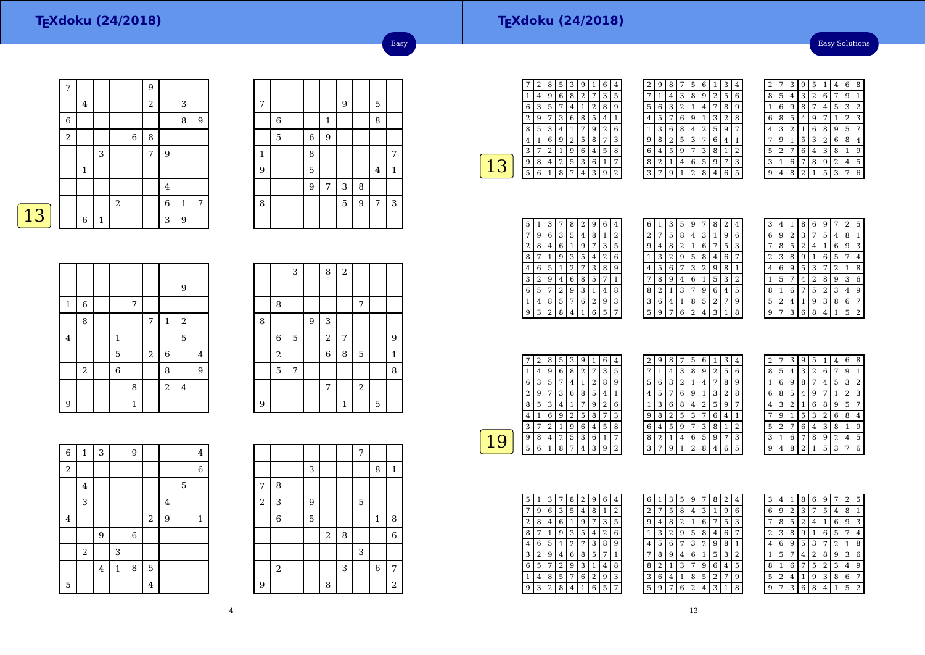Easy Solutions

| $\overline{7}$ |              |              |       |   | 9 |                  |              |                |
|----------------|--------------|--------------|-------|---|---|------------------|--------------|----------------|
|                | 4            |              |       |   | 2 |                  | 3            |                |
| 6              |              |              |       |   |   |                  | 8            | $\overline{9}$ |
| $\overline{2}$ |              |              |       | 6 | 8 |                  |              |                |
|                |              | 3            |       |   | 7 | 9                |              |                |
|                | $\mathbf{1}$ |              |       |   |   |                  |              |                |
|                |              |              |       |   |   | $\bf 4$          |              |                |
|                |              |              | $\,2$ |   |   | $\boldsymbol{6}$ | $\mathbf{1}$ | 7              |
|                | 6            | $\mathbf{1}$ |       |   |   | 3                | 9            |                |

| 7              |   |                |             | 9 |   | 5              |             |
|----------------|---|----------------|-------------|---|---|----------------|-------------|
|                | 6 |                | $\mathbf 1$ |   |   | 8              |             |
|                | 5 | $\overline{6}$ | 9           |   |   |                |             |
| $\mathbf{1}$   |   | 8              |             |   |   |                | 7           |
| $\overline{9}$ |   | 5              |             |   |   | $\overline{4}$ | $\mathbf 1$ |
|                |   | 9              | 7           | 3 | 8 |                |             |
| 8              |   |                |             | 5 | 9 | 7              | 3           |
|                |   |                |             |   |   |                |             |

Easy

|--|

|             |                |             |              |       |                  | 9       |                |
|-------------|----------------|-------------|--------------|-------|------------------|---------|----------------|
| $\mathbf 1$ | $\overline{6}$ |             | 7            |       |                  |         |                |
|             | 8              |             |              | 7     | $\,1\,$          | $\,2$   |                |
| $\bf 4$     |                | $\,1\,$     |              |       |                  | 5       |                |
|             |                | 5           |              | $\,2$ | $\boldsymbol{6}$ |         | $\overline{4}$ |
|             | $\,2$          | $\,$ 6 $\,$ |              |       | 8                |         | 9              |
|             |                |             | 8            |       | $\overline{a}$   | $\bf 4$ |                |
| 9           |                |             | $\mathbf{1}$ |       |                  |         |                |

|   |            | 3 |                | 8          | $\sqrt{2}$ |                |   |   |
|---|------------|---|----------------|------------|------------|----------------|---|---|
|   |            |   |                |            |            |                |   |   |
|   | 8          |   |                |            |            | 7              |   |   |
| 8 |            |   | $\overline{9}$ | 3          |            |                |   |   |
|   | 6          | 5 |                | $\sqrt{2}$ | 7          |                |   | 9 |
|   | $\sqrt{2}$ |   |                | 6          | 8          | 5              |   | 1 |
|   | 5          | 7 |                |            |            |                |   | 8 |
|   |            |   |                | 7          |            | $\overline{2}$ |   |   |
| 9 |            |   |                |            | 1          |                | 5 |   |

| $\overline{6}$ | $\mathbf 1$             | 3       |              | 9 |                |                |   | 4            |
|----------------|-------------------------|---------|--------------|---|----------------|----------------|---|--------------|
| $\overline{a}$ |                         |         |              |   |                |                |   | 6            |
|                | $\overline{\mathbf{4}}$ |         |              |   |                |                | 5 |              |
|                | 3                       |         |              |   |                | $\overline{4}$ |   |              |
| $\bf 4$        |                         |         |              |   | $\sqrt{2}$     | 9              |   | $\mathbf{1}$ |
|                |                         | 9       |              | 6 |                |                |   |              |
|                | $\,2$                   |         | 3            |   |                |                |   |              |
|                |                         | $\bf 4$ | $\mathbf{1}$ | 8 | 5              |                |   |              |
| 5              |                         |         |              |   | $\overline{4}$ |                |   |              |

|                |                |   |       |   | 7 |                |                |
|----------------|----------------|---|-------|---|---|----------------|----------------|
|                |                | 3 |       |   |   | 8              | $\mathbf{1}$   |
| 7              | 8              |   |       |   |   |                |                |
| $\overline{a}$ | 3              | 9 |       |   | 5 |                |                |
|                | $\overline{6}$ | 5 |       |   |   | $\mathbf{1}$   | 8              |
|                |                |   | $\,2$ | 8 |   |                | 6              |
|                |                |   |       |   | 3 |                |                |
|                | $\,2$          |   |       | 3 |   | $\overline{6}$ | 7              |
| $\overline{9}$ |                |   | 8     |   |   |                | $\overline{c}$ |

|   | 2 | 8 | 5 | 3 | 9 |   | 6              | 4              |
|---|---|---|---|---|---|---|----------------|----------------|
|   | 4 | 9 | 6 | 8 | 2 |   | 3              | 5              |
| 6 | 3 | 5 | 7 | 4 | 1 | 2 | 8              | g              |
| 2 | 9 |   | 3 | 6 | 8 | 5 | 4              | $\overline{1}$ |
| 8 | 5 | 3 | 4 | 1 |   | 9 | $\overline{2}$ | 6              |
| 4 | 1 | 6 | 9 | 2 | 5 | 8 | 7              | 3              |
| 3 |   | 2 | 1 | 9 | 6 | 4 | 5              | 8              |
| 9 | 8 | 4 | 2 | 5 | 3 | 6 | 1              | 7              |
| 5 | 6 |   | 8 | 7 | 4 | 3 | 9              | 2              |
|   |   |   |   |   |   |   |                |                |

| 2 | 9 | 8 | 7 | 5 | 6 | 1              | 3 | $\overline{\mathbf{4}}$ |
|---|---|---|---|---|---|----------------|---|-------------------------|
|   | 1 | 4 | 3 | 8 | 9 | $\overline{2}$ | 5 | 6                       |
| 5 | 6 | 3 | 2 | 1 | 4 | 7              | 8 | 9                       |
| 4 | 5 | 7 | 6 | 9 | 1 | 3              | 2 | 8                       |
| 1 | 3 | 6 | 8 | 4 | 2 | 5              | 9 | 7                       |
| 9 | 8 | 2 | 5 | 3 | 7 | 6              | 4 | 1                       |
| 6 | 4 | 5 | 9 | 7 | 3 | 8              | 1 | 2                       |
| 8 | 2 | 1 | 4 | 6 | 5 | 9              | 7 | 3                       |
| 3 | 7 | g | 1 | 2 | 8 | 4              | 6 | 5                       |

| 2 |                | 3 | g              | 5 |                | 4 | 6              | 8 |
|---|----------------|---|----------------|---|----------------|---|----------------|---|
| 8 | 5              | 4 | 3              | 2 | 6              |   | 9              | 1 |
|   | 6              | g | 8              | 7 | 4              | 5 | 3              | 2 |
| 6 | 8              | 5 | 4              | 9 |                | 1 | $\overline{2}$ | 3 |
| 4 | 3              | 2 | 1              | 6 | 8              | 9 | 5              | 7 |
|   | 9              | 1 | 5              | 3 | $\overline{2}$ | 6 | 8              | 4 |
| 5 | $\overline{2}$ | 7 | 6              | 4 | 3              | 8 | 1              | 9 |
| 3 | 1              | 6 | 7              | 8 | 9              | 2 | 4              | 5 |
|   | 4              | 8 | $\overline{2}$ | 1 | 5              | 3 |                | 6 |

| 5 |   | З              | 7 | 8 | 2 | 9 | 6 | 4 |
|---|---|----------------|---|---|---|---|---|---|
| 7 | 9 | 6              | 3 | 5 | 4 | 8 | 1 | 2 |
| 2 | 8 | 4              | 6 | 1 | 9 |   | 3 | 5 |
| 8 | 7 | 1              | 9 | 3 | 5 | 4 | 2 | 6 |
| 4 | 6 | 5              | 1 | 2 | 7 | 3 | 8 | 9 |
| 3 | 2 | 9              | 4 | 6 | 8 | 5 | 7 | 1 |
| 6 | 5 | 7              | 2 | 9 | 3 | 1 | 4 | 8 |
| 1 | 4 | 8              | 5 | 7 | 6 | 2 | 9 | 3 |
| 9 | 3 | $\overline{2}$ | 8 | 4 | 1 | 6 | 5 | 7 |

| 6 | 1 | 3 | 5 | 9                       | 7 | 8 | 2 | 4 |
|---|---|---|---|-------------------------|---|---|---|---|
| 2 | 7 | 5 | 8 | 4                       | 3 | 1 | 9 | 6 |
| 9 | 4 | 8 | 2 | 1                       | 6 | 7 | 5 | 3 |
| 1 | 3 | 2 | 9 | 5                       | 8 | 4 | 6 | 7 |
| 4 | 5 | 6 |   | 3                       | 2 | 9 | 8 | 1 |
|   | 8 | 9 | 4 | 6                       | 1 | 5 | 3 | 2 |
| 8 | 2 | 1 | 3 | 7                       | 9 | 6 | 4 | 5 |
| 3 | 6 | 4 | 1 | 8                       | 5 | 2 | 7 | 9 |
| 5 | 9 | 7 | 6 | $\overline{\mathbf{c}}$ | 4 | 3 | 1 | 8 |
|   |   |   |   |                         |   |   |   |   |

| 3 | 4 |                | 8 | 6 | g |                | 2 | 5 |
|---|---|----------------|---|---|---|----------------|---|---|
| 6 | 9 | $\overline{2}$ | 3 | 7 | 5 | 4              | 8 | 1 |
|   | 8 | 5              | 2 | 4 | 1 | 6              | 9 | 3 |
| 2 | 3 | 8              | 9 | 1 | 6 | 5              | 7 | 4 |
| 4 | 6 | 9              | 5 | 3 | 7 | $\overline{2}$ | 1 | 8 |
| 1 | 5 | 7              | 4 | 2 | 8 | 9              | 3 | 6 |
| 8 | 1 | 6              |   | 5 | 2 | 3              | 4 | 9 |
| 5 | 2 | 4              | 1 | 9 | 3 | 8              | 6 | 7 |
| q |   | 3              | 6 | 8 | 4 |                | 5 | 2 |

|   | 2 | 8 | 5 | 3 | 9              |   | 6              | $\overline{4}$ |  |
|---|---|---|---|---|----------------|---|----------------|----------------|--|
| 1 | 4 | 9 | 6 | 8 | $\overline{2}$ |   | 3              | 5              |  |
| 6 | 3 | 5 | 7 | 4 | 1              | 2 | 8              | 9              |  |
| 2 | g |   | 3 | 6 | 8              | 5 | 4              | 1              |  |
| 8 | 5 | 3 | 4 | 1 | 7              | 9 | $\overline{2}$ | 6              |  |
| 4 | 1 | 6 | 9 | 2 | 5              | 8 | 7              | 3              |  |
| 3 |   | 2 | 1 | 9 | 6              | 4 | 5              | 8              |  |
| 9 | 8 | 4 | 2 | 5 | 3              | 6 | 1              | 7              |  |
| 5 | 6 | 1 | 8 | 7 | 4              | 3 | 9              | 2              |  |
|   |   |   |   |   |                |   |                |                |  |

| 2 | 9 | 8 | 7 | 5 | 6 | $\mathbf{1}$   | 3 | 4 |  |
|---|---|---|---|---|---|----------------|---|---|--|
|   | 1 | 4 | 3 | 8 | 9 | $\overline{2}$ | 5 | 6 |  |
| 5 | 6 | 3 | 2 | 1 | 4 | 7              | 8 | 9 |  |
| 4 | 5 | 7 | 6 | 9 | 1 | 3              | 2 | 8 |  |
| 1 | 3 | 6 | 8 | 4 | 2 | 5              | 9 | 7 |  |
| 9 | 8 | 2 | 5 | 3 | 7 | 6              | 4 | 1 |  |
| 6 | 4 | 5 | 9 | 7 | 3 | 8              | 1 | 2 |  |
| 8 | 2 | 1 | 4 | 6 | 5 | 9              | 7 | 3 |  |
| 3 | 7 | 9 | 1 | 2 | 8 | 4              | 6 | 5 |  |

| $\overline{c}$ |                | 3              | 9              | 5              | 1              | 4 | 6              | 8 |
|----------------|----------------|----------------|----------------|----------------|----------------|---|----------------|---|
| 8              | 5              | 4              | 3              | $\overline{2}$ | 6              | 7 | 9              | 1 |
| 1              | 6              | 9              | 8              | 7              | 4              | 5 | 3              | 2 |
| 6              | 8              | 5              | 4              | 9              | 7              | 1 | $\overline{2}$ | 3 |
| 4              | 3              | $\overline{2}$ | 1              | 6              | 8              | 9 | 5              |   |
| 7              | 9              | 1              | 5              | 3              | $\overline{c}$ | 6 | 8              | 4 |
| 5              | $\overline{2}$ | 7              | 6              | 4              | 3              | 8 |                | 9 |
| 3              | 1              | 6              | 7              | 8              | 9              | 2 | 4              | 5 |
| ö              | 4              | 8              | $\overline{2}$ | 1              | 5              | 3 |                | 6 |

| 5 | 1 | З |   | 8 | 2 | 9 | 6              | 4 |
|---|---|---|---|---|---|---|----------------|---|
|   | 9 | 6 | 3 | 5 | 4 | 8 | 1              | 2 |
| 2 | 8 | 4 | 6 | 1 | g | 7 | 3              | 5 |
| 8 |   |   | 9 | 3 | 5 | 4 | $\overline{2}$ | 6 |
| 4 | 6 | 5 | 1 | 2 | 7 | 3 | 8              | 9 |
| 3 | 2 | 9 | 4 | 6 | 8 | 5 | 7              | 1 |
| 6 | 5 |   | 2 | 9 | 3 |   | 4              | 8 |
| 1 | 4 | 8 | 5 | 7 | 6 | 2 | 9              | 3 |
| q | 3 | 2 | 8 | 4 | 1 | 6 | 5              | 7 |

| 6 | 1 | 3 | 5              | 9 |   | 8 | $\overline{2}$ | 4 |
|---|---|---|----------------|---|---|---|----------------|---|
| 2 | 7 | 5 | 8              | 4 | 3 | 1 | 9              | 6 |
| 9 | 4 | 8 | $\overline{2}$ | 1 | 6 | 7 | 5              | 3 |
| 1 | 3 | 2 | 9              | 5 | 8 | 4 | 6              | 7 |
| 4 | 5 | 6 | 7              | 3 | 2 | 9 | 8              | 1 |
| 7 | 8 | 9 | 4              | 6 | 1 | 5 | 3              | 2 |
| 8 | 2 | 1 | 3              | 7 | 9 | 6 | 4              | 5 |
| 3 | 6 | 4 | 1              | 8 | 5 | 2 | 7              | 9 |
| 5 | 9 | 7 | 6              | 2 | 4 | 3 | 1              | 8 |

| 3 | 4 | 1 | 8 | 6 | 9 |                | $\overline{2}$ | 5 |
|---|---|---|---|---|---|----------------|----------------|---|
| 6 | 9 | 2 | 3 | 7 | 5 | 4              | 8              | 1 |
| 7 | 8 | 5 | 2 | 4 | 1 | 6              | 9              | 3 |
| 2 | 3 | 8 | 9 | 1 | 6 | 5              | 7              | 4 |
| 4 | 6 | 9 | 5 | 3 | 7 | $\overline{2}$ | 1              | 8 |
| 1 | 5 | 7 | 4 | 2 | 8 | 9              | 3              | 6 |
| 8 | 1 | 6 | 7 | 5 | 2 | 3              | 4              | 9 |
| 5 | 2 | 4 | 1 | 9 | 3 | 8              | 6              | 7 |
| 9 | 7 | 3 | 6 | 8 | 4 | 1              | 5              | 2 |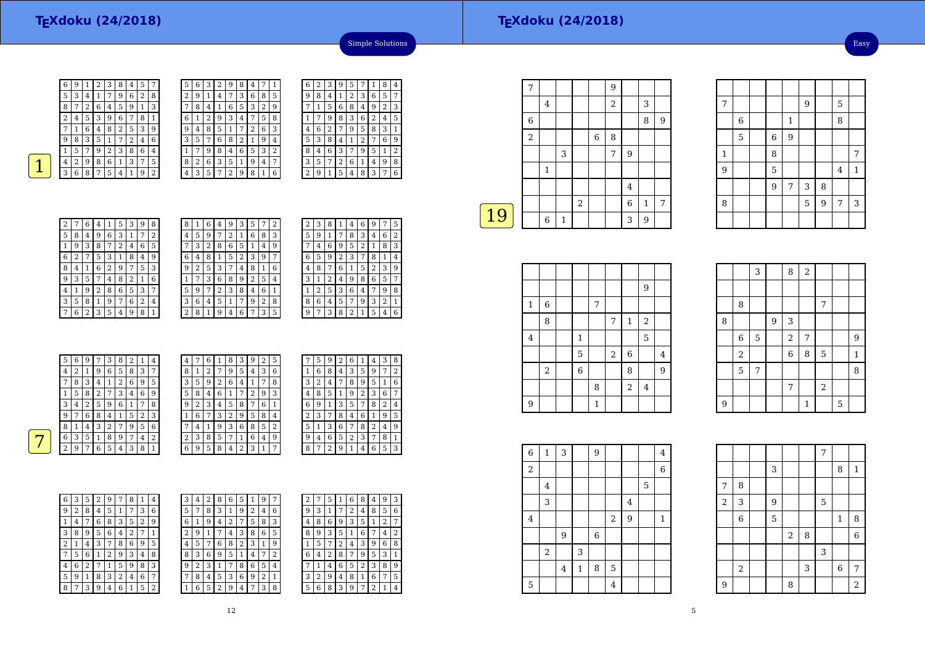7

1

9

8

6

5

7 | | | | 9 | 5

 $\begin{array}{|c|c|c|c|c|c|c|c|}\n\hline\n6 & 1 & 8 \\
\hline\n\end{array}$ 

 $\begin{array}{|c|c|c|c|c|c|c|c|c|} \hline 1 & 8 & 7 \\ \hline \end{array}$ 

8 1 5 9 7 3

 $\begin{array}{c|c}\n3 & 8 \\
\hline\n5 & 9\n\end{array}$ 

 $\begin{array}{|c|c|c|}\n\hline\n6 & 9 \\
\hline\n8 & & \\
\hline\n\end{array}$ 

 $\begin{array}{|c|c|c|c|c|c|c|c|c|} \hline 9 & & 5 & & 4 \\ \hline \end{array}$ 

9<sup>7</sup>

3

Easy

 $4|1$ 



6

| 6 | 9 | 1              | 2 | З | 8 | 4 | 5 | 7              |
|---|---|----------------|---|---|---|---|---|----------------|
| 5 | 3 | 4              | 1 | 7 | 9 | 6 | 2 | 8              |
| 8 | 7 | $\overline{2}$ | 6 | 4 | 5 | 9 | 1 | 3              |
| 2 | 4 | 5              | 3 | 9 | 6 | 7 | 8 | 1              |
|   | 1 | 6              | 4 | 8 | 2 | 5 | 3 | 9              |
| 9 | 8 | 3              | 5 | 1 | 7 | 2 | 4 | 6              |
| 1 | 5 | 7              | 9 | 2 | 3 | 8 | 6 | 4              |
| 4 | 2 | 9              | 8 | 6 | 1 | 3 | 7 | 5              |
| 3 | 6 | 8              | 7 | 5 | 4 |   | 9 | $\overline{2}$ |
|   |   |                |   |   |   |   |   |                |

–

| 5 | 6 | 3 | 2 | g              | 8 | 4 |   | 1 | в |
|---|---|---|---|----------------|---|---|---|---|---|
| 2 | 9 | 1 | 4 | 7              | 3 | 6 | 8 | 5 | ć |
|   | 8 | 4 |   | 6              | 5 | З | 2 | 9 |   |
| 6 |   | 2 | 9 | 3              | 4 | 7 | 5 | 8 |   |
| 9 | 4 | 8 | 5 | 1              | 7 | 2 | 6 | 3 | 4 |
| 3 | 5 | 7 | 6 | 8              | 2 | 1 | 9 | 4 | E |
|   |   | 9 | 8 | 4              | 6 | 5 | 3 | 2 | ٤ |
| 8 | 2 | 6 | 3 | 5              | 1 | 9 | 4 | 7 | Ξ |
|   | 3 | 5 | 7 | $\overline{2}$ | 9 | 8 |   | 6 | 2 |
|   |   |   |   |                |   |   |   |   |   |

| 6 | 2 | 3 | 9 | 5 | 7 | 1 | 8 | 4              |
|---|---|---|---|---|---|---|---|----------------|
| 9 | 8 | 4 | 1 | 2 | 3 | 6 | 5 | 7              |
| 7 | 1 | 5 | 6 | 8 | 4 | 9 | 2 | 3              |
| 1 | 7 | 9 | 8 | 3 | 6 | 2 | 4 | 5              |
| 4 | 6 | 2 | 7 | 9 | 5 | 8 | 3 | 1              |
| 5 | 3 | 8 | 4 | 1 | 2 | 7 | 6 | 9              |
| 8 | 4 | 6 | 3 | 7 | 9 | 5 | 1 | $\overline{2}$ |
| 3 | 5 | 7 | 2 | 6 | 1 | 4 | 9 | 8              |
| 2 | 9 | 1 | 5 | 4 | 8 | 3 | 7 | 6              |

Simple Solutions

| 2 | 7 | 6 | 4     | 1 | 5 | 3 | 9 | 8              |
|---|---|---|-------|---|---|---|---|----------------|
| 5 | 8 | 4 | 9     | 6 | 3 | 1 | 7 | $\overline{2}$ |
| 1 | 9 | 3 | 8     | 7 | 2 | 4 | 6 | 5              |
| 6 | 2 |   | 5     | 3 | 1 | 8 | 4 | 9              |
| 8 | 4 | 1 | 6     | 2 | 9 | 7 | 5 | 3              |
| 9 | 3 | 5 | 7     | 4 | 8 | 2 | 1 | 6              |
| 4 | 1 | 9 | 2     | 8 | 6 | 5 | 3 | 7              |
| 3 | 5 | 8 | $1\,$ | 9 | 7 | 6 | 2 | 4              |
|   | 6 | 2 | 3     | 5 | 4 | 9 | 8 | 1              |

| 8                       | 1 | 6 | 4 | 9 | 3 | 5 |   | 2 |  |
|-------------------------|---|---|---|---|---|---|---|---|--|
| 4                       | 5 | 9 |   | 2 | 1 | 6 | 8 | 3 |  |
| 7                       | 3 | 2 | 8 | 6 | 5 | 1 | 4 | 9 |  |
| 6                       | 4 | 8 | 1 | 5 | 2 | 3 | 9 | 7 |  |
| 9                       | 2 | 5 | 3 | 7 | 4 | 8 | 1 | 6 |  |
| 1                       |   | 3 | 6 | 8 | 9 | 2 | 5 | 4 |  |
| 5                       | 9 | 7 | 2 | 3 | 8 | 4 | 6 | 1 |  |
| 3                       | 6 | 4 | 5 | 1 | 7 | 9 | 2 | 8 |  |
| $\overline{\mathbf{c}}$ | 8 | 1 | 9 | 4 | 6 | 7 | 3 | 5 |  |

| 2 | З | 8 |                | 4 | 6 | 9 |   | 5 |
|---|---|---|----------------|---|---|---|---|---|
| 5 | 9 | 1 | 7              | 8 | 3 | 4 | 6 | 2 |
|   | 4 | 6 | 9              | 5 | 2 | 1 | 8 | 3 |
| 6 | 5 | 9 | $\overline{c}$ | 3 | 7 | 8 | 1 | 4 |
| 4 | 8 | 7 | 6              | 1 | 5 | 2 | 3 | 9 |
| 3 | 1 | 2 | 4              | 9 | 8 | 6 | 5 | 7 |
| 1 | 2 | 5 | 3              | 6 | 4 | 7 | 9 | 8 |
| 8 | 6 | 4 | 5              | 7 | 9 | 3 | 2 | 1 |
| 9 | 7 | 3 | 8              | 2 | 1 | 5 | 4 | 6 |
|   |   |   |                |   |   |   |   | 7 |

| 5        | 6 | 9 | ⇁ | 3 | 8 |   |   | 4 | 4                  | 7              | 6 |                | 8 | 3              | 9 | 2 | 5              | 7 | 5 | 9 | າ | 6              |                | 4 | 3              | 8              |
|----------|---|---|---|---|---|---|---|---|--------------------|----------------|---|----------------|---|----------------|---|---|----------------|---|---|---|---|----------------|----------------|---|----------------|----------------|
| 4        | າ |   | 9 | 6 | 5 | 8 | 3 | 7 | 8                  | 1              | ി | $\overline{7}$ | 9 | 5              | 4 | 3 | 6              |   | 6 | 8 | 4 | 3              | 5              | 9 | 7              | $^{\circ}$ 2   |
| 7        | 8 | 3 | 4 |   | ∍ | 6 | 9 | 5 | 3                  | 5              | 9 | 2              | 6 | 4              |   | 7 | 8              | 3 | 2 | 4 | 7 | 8              | 9              | 5 |                | 6              |
|          | 5 | 8 | 2 | 7 | 3 | 4 | 6 | 9 | 5                  | 8              | 4 | 6              | 1 | 7              | ∍ | 9 | 3              | 4 | 8 | 5 |   | 9              | 2              | 3 | 6              | 7              |
| 3        | 4 | 2 | 5 | 9 | 6 |   | 7 | 8 | 9                  | $\overline{2}$ | 3 | 4              | 5 | 8              | 7 | 6 |                | 6 | 9 |   | 3 | 5              | 7              | 8 | 2 <sub>1</sub> | $\overline{4}$ |
| 9        | ⇁ | 6 | 8 | 4 |   | 5 | 2 | 3 |                    | 6              | 7 | 3              | 2 | 9              | 5 | 8 | $\overline{4}$ | 2 | 3 | 7 | 8 | 4              | 6              |   | 9              | 5              |
| 8        |   | 4 | 3 | 2 | ⇁ | 9 | 5 | 6 | ⇁                  | 4              |   | 9              | 3 | 6              | 8 | 5 | 2              | 5 |   | 3 | 6 | $\overline{ }$ | 8              | 2 | 4              | 9              |
| 6        | 3 | 5 |   | 8 | 9 |   | 4 | 2 | $\mathcal{L}$<br>∠ | 3              | 8 | 5.             | 7 |                | 6 | 4 | 9              | 9 | 4 | 6 | 5 | 2              | 3              | 7 | 8              |                |
| $\Omega$ | 9 | ⇁ | 6 | 5 | 4 | 3 | 8 | 1 | 6                  | 9              | 5 | 8              | 4 | $\overline{2}$ | З |   | 7              | 8 | 7 | 2 | q |                | $\overline{4}$ | 6 | 5              | 3              |
|          |   |   |   |   |   |   |   |   |                    |                |   |                |   |                |   |   |                |   |   |   |   |                |                |   |                |                |

| 6 | 3 | 5 | 2 | 9 | 7 | 8 | 1 | 4 | 3 | 4 | 2 | 8 | 6 | 5 |
|---|---|---|---|---|---|---|---|---|---|---|---|---|---|---|
| 9 | 2 | 8 | 4 | 5 | 1 | 7 | 3 | 6 | 5 | 7 | 8 | 3 | 1 | 9 |
|   | 4 | 7 | 6 | 8 | 3 | 5 | 2 | 9 | 6 | 1 | 9 | 4 | 2 |   |
| 3 | 8 | 9 | 5 | 6 | 4 | 2 | 7 |   | 2 | 9 | 1 |   | 4 | 3 |
| 2 | 1 | 4 | 3 | 7 | 8 | 6 | 9 | 5 | 4 | 5 | 7 | 6 | 8 | 2 |
| 7 | 5 | 6 | 1 | 2 | 9 | 3 | 4 | 8 | 8 | 3 | 6 | 9 | 5 |   |
| 4 | 6 | 2 | 7 | 1 | 5 | 9 | 8 | 3 | 9 | 2 | 3 | 1 | 7 | 8 |
| 5 | 9 | 1 | 8 | 3 | 2 | 4 | 6 | 7 | 7 | 8 | 4 | 5 | 3 | 6 |
| 8 | 7 | 3 | 9 | 4 | 6 | 1 | 5 | 2 | 1 | 6 | 5 | 2 | 9 | 4 |

| 3 | 4 | 2              | 8 | 6 | 5 | ı | 9 | 7              | ∠ |   | 5 |   | 6 | 8              | 4      | 9      | 3 |
|---|---|----------------|---|---|---|---|---|----------------|---|---|---|---|---|----------------|--------|--------|---|
| 5 | 7 | 8              | 3 | ┸ | 9 | 2 | 4 | 6              | 9 | 3 | 1 | 7 | 2 | 4              | 8      | 5      | 6 |
| 6 | 1 | 9              | 4 | 2 |   | 5 | 8 | 3              | 4 | 8 | 6 | 9 | 3 | 5              | 1      | າ<br>∠ | 7 |
| 2 | 9 | 1              |   | 4 | 3 | 8 | 6 | 5              | 8 | 9 | 3 | 5 | 1 | 6              | 7      | 4      | 2 |
| 4 | 5 | 7              | 6 | 8 | 2 | 3 | 1 | 9              |   | 5 | 7 | 2 | 4 | 3              | 9      | 6      | 8 |
| 8 | 3 | 6              | 9 | 5 | 1 | 4 | 7 | 2              | 6 | 4 | 2 | 8 | 7 | 9              | 5      | 3      | 1 |
| 9 | 2 | 3              |   | 7 | 8 | 6 | 5 | $\overline{4}$ | ⇁ | 1 | 4 | 6 | 5 | $\overline{2}$ | 3      | 8      | 9 |
| 7 | 8 | $\overline{4}$ | 5 | 3 | 6 | 9 | 2 | 1              | 3 | 2 | 9 | 4 | 8 | 1              | 6      | 7      | 5 |
| 1 | 6 | 5              | 2 | 9 | 4 | 7 | 3 | 8              | 5 | 6 | 8 | 3 | 9 | 7              | າ<br>∠ | 1      | 4 |
|   |   |                |   |   |   |   |   |                |   |   |   |   |   |                |        |        |   |

|    | 7              |   |              |            |        | 9 |   |              |   |
|----|----------------|---|--------------|------------|--------|---|---|--------------|---|
|    |                | 4 |              |            |        | 2 |   | 3            |   |
|    | 6              |   |              |            |        |   |   | 8            | 9 |
|    | $\overline{2}$ |   |              |            | $\,$ 6 | 8 |   |              |   |
|    |                |   | 3            |            |        | 7 | 9 |              |   |
|    |                | 1 |              |            |        |   |   |              |   |
|    |                |   |              |            |        |   | 4 |              |   |
|    |                |   |              | $\sqrt{2}$ |        |   | 6 | $\mathbf{1}$ | 7 |
| 19 |                | 6 | $\mathbf{1}$ |            |        |   | 3 | 9            |   |
|    |                |   |              |            |        |   |   |              |   |

|                |       |                |   |       |              | 9                |                |
|----------------|-------|----------------|---|-------|--------------|------------------|----------------|
| $\mathbf 1$    | 6     |                | 7 |       |              |                  |                |
|                | 8     |                |   | 7     | $\mathbf{1}$ | $\boldsymbol{2}$ |                |
| $\overline{4}$ |       | $\mathbf{1}$   |   |       |              | 5                |                |
|                |       | 5              |   | $\,2$ | $\,6\,$      |                  | $\overline{4}$ |
|                | $\,2$ | $\overline{6}$ |   |       | 8            |                  | 9              |
|                |       |                | 8 |       | $\sqrt{2}$   | $\bf 4$          |                |
| 9              |       |                | 1 |       |              |                  |                |

|   | 8     |   |   |            |   | 7              |   |   |
|---|-------|---|---|------------|---|----------------|---|---|
| 8 |       |   | 9 | 3          |   |                |   |   |
|   | 6     | 5 |   | $\sqrt{2}$ | 7 |                |   | 9 |
|   | $\,2$ |   |   | 6          | 8 | $\overline{5}$ |   | 1 |
|   | 5     | 7 |   |            |   |                |   | 8 |
|   |       |   |   | 7          |   | $\sqrt{2}$     |   |   |
| 9 |       |   |   |            | 1 |                | 5 |   |

 $8 \mid 2$ 

| $\overline{6}$ | $\mathbf 1$ | 3                |         | 9 |                |                |   | 4       |  |
|----------------|-------------|------------------|---------|---|----------------|----------------|---|---------|--|
| $\,2$          |             |                  |         |   |                |                |   | 6       |  |
|                | 4           |                  |         |   |                |                | 5 |         |  |
|                | 3           |                  |         |   |                | $\bf 4$        |   |         |  |
| $\overline{4}$ |             |                  |         |   | $\sqrt{2}$     | $\overline{9}$ |   | $\,1\,$ |  |
|                |             | $\boldsymbol{9}$ |         | 6 |                |                |   |         |  |
|                | $\,2$       |                  | 3       |   |                |                |   |         |  |
|                |             | $\bf 4$          | $\,1\,$ | 8 | $\mathbf 5$    |                |   |         |  |
| 5              |             |                  |         |   | $\overline{4}$ |                |   |         |  |

|                         |                  |   |            |   | $\overline{7}$ |                |                |
|-------------------------|------------------|---|------------|---|----------------|----------------|----------------|
|                         |                  | 3 |            |   |                | 8              | $\mathbf{1}$   |
| 7                       | 8                |   |            |   |                |                |                |
| $\overline{\mathbf{c}}$ | 3                | 9 |            |   | 5              |                |                |
|                         | $\boldsymbol{6}$ | 5 |            |   |                | $\mathbf{1}$   | 8              |
|                         |                  |   | $\sqrt{2}$ | 8 |                |                | $\overline{6}$ |
|                         |                  |   |            |   | 3              |                |                |
|                         | $\,2$            |   |            | 3 |                | $\overline{6}$ | 7              |
| $\overline{9}$          |                  |   | 8          |   |                |                | $\overline{a}$ |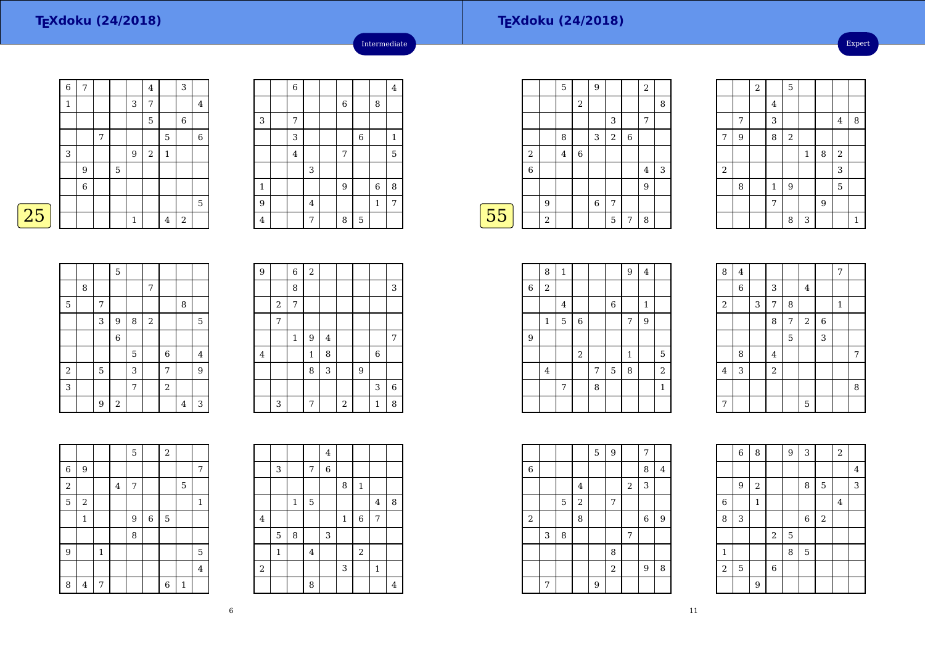|   | 6 | 7           |   |             |              | 4          |             | 3              |             |
|---|---|-------------|---|-------------|--------------|------------|-------------|----------------|-------------|
|   | 1 |             |   |             | 3            | 7          |             |                | 4           |
|   |   |             |   |             |              | 5          |             | $\,6$          |             |
|   |   |             | 7 |             |              |            | 5           |                | $\,$ 6 $\,$ |
|   | 3 |             |   |             | $9\,$        | $\sqrt{2}$ | $\mathbf 1$ |                |             |
|   |   | 9           |   | $\mathbf 5$ |              |            |             |                |             |
|   |   | $\,$ 6 $\,$ |   |             |              |            |             |                |             |
|   |   |             |   |             |              |            |             |                | 5           |
| 5 |   |             |   |             | $\mathbf{1}$ |            | 4           | $\overline{2}$ |             |

|                         | $\,$ 6 $\,$    |   |       |                |              | 4            |
|-------------------------|----------------|---|-------|----------------|--------------|--------------|
|                         |                |   | $\,6$ |                | 8            |              |
| 3                       | 7              |   |       |                |              |              |
|                         | 3              |   |       | $\,$ 6 $\,$    |              | $\mathbf{1}$ |
|                         | $\overline{4}$ |   | 7     |                |              | 5            |
|                         |                | 3 |       |                |              |              |
| $\mathbf{1}$            |                |   | 9     |                | $\,$ 6 $\,$  | 8            |
| $\overline{9}$          |                | 4 |       |                | $\mathbf{1}$ | 7            |
| $\overline{\mathbf{4}}$ |                | 7 | 8     | $\overline{5}$ |              |              |

Intermediate

|    |                |                | 5              |                | 9           |   |   | $\overline{2}$ |   |
|----|----------------|----------------|----------------|----------------|-------------|---|---|----------------|---|
|    |                |                |                | $\overline{2}$ |             |   |   |                | 8 |
|    |                |                |                |                |             | 3 |   | 7              |   |
|    |                |                | 8              |                | 3           | 2 | 6 |                |   |
|    | $\overline{2}$ |                | $\overline{4}$ | 6              |             |   |   |                |   |
|    | 6              |                |                |                |             |   |   | $\overline{4}$ | 3 |
|    |                |                |                |                |             |   |   | 9              |   |
|    |                | 9              |                |                | $\,$ 6 $\,$ | 7 |   |                |   |
| 55 |                | $\overline{2}$ |                |                |             | 5 | 7 | 8              |   |
|    |                |                |                |                |             |   |   |                |   |

|                  |   | $\overline{\mathbf{c}}$ |             | 5     |             |   |                |              |
|------------------|---|-------------------------|-------------|-------|-------------|---|----------------|--------------|
|                  |   |                         | $\bf 4$     |       |             |   |                |              |
|                  | 7 |                         | 3           |       |             |   | $\bf 4$        | 8            |
| 7                | 9 |                         | 8           | $\,2$ |             |   |                |              |
|                  |   |                         |             |       | $\mathbf 1$ | 8 | $\overline{a}$ |              |
| $\boldsymbol{2}$ |   |                         |             |       |             |   | 3              |              |
|                  | 8 |                         | $\mathbf 1$ | 9     |             |   | 5              |              |
|                  |   |                         | 7           |       |             | 9 |                |              |
|                  |   |                         |             | 8     | 3           |   |                | $\mathbf{1}$ |

|                |   |   | 5              |   |       |                |   |                |
|----------------|---|---|----------------|---|-------|----------------|---|----------------|
|                | 8 |   |                |   | 7     |                |   |                |
| $\overline{5}$ |   | 7 |                |   |       |                | 8 |                |
|                |   | 3 | 9              | 8 | $\,2$ |                |   | 5              |
|                |   |   | $\overline{6}$ |   |       |                |   |                |
|                |   |   |                | 5 |       | $\,$ 6 $\,$    |   | $\overline{4}$ |
| $\,2$          |   | 5 |                | 3 |       | 7              |   | 9              |
| 3              |   |   |                | 7 |       | $\overline{c}$ |   |                |
|                |   | 9 | $\,2$          |   |       |                | 4 | 3              |

| 9       |                         | $\overline{6}$ | $\overline{a}$ |                |                         |   |              |             |
|---------|-------------------------|----------------|----------------|----------------|-------------------------|---|--------------|-------------|
|         |                         | 8              |                |                |                         |   |              | 3           |
|         | $\overline{\mathbf{c}}$ | 7              |                |                |                         |   |              |             |
|         | 7                       |                |                |                |                         |   |              |             |
|         |                         | $\mathbf{1}$   | 9              | $\overline{4}$ |                         |   |              | 7           |
| $\bf 4$ |                         |                | $\mathbf{1}$   | 8              |                         |   | 6            |             |
|         |                         |                | 8              | 3              |                         | 9 |              |             |
|         |                         |                |                |                |                         |   | 3            | $\,$ 6 $\,$ |
|         | 3                       |                | 7              |                | $\overline{\mathbf{2}}$ |   | $\mathbf{1}$ | 8           |

|                         |                |              |   | 5 |       | $\sqrt{2}$     |              |                |
|-------------------------|----------------|--------------|---|---|-------|----------------|--------------|----------------|
| 6                       | 9              |              |   |   |       |                |              | 7              |
| $\overline{\mathbf{c}}$ |                |              | 4 | 7 |       |                | 5            |                |
| $\overline{5}$          | $\sqrt{2}$     |              |   |   |       |                |              | $\mathbf{1}$   |
|                         | $\mathbf{1}$   |              |   | 9 | $\,6$ | $\mathbf 5$    |              |                |
|                         |                |              |   | 8 |       |                |              |                |
| $\overline{9}$          |                | $\mathbf{1}$ |   |   |       |                |              | 5              |
|                         |                |              |   |   |       |                |              | $\overline{4}$ |
| 8                       | $\overline{4}$ | 7            |   |   |       | $\overline{6}$ | $\mathbf{1}$ |                |

|            |              |              |          | $\overline{4}$ |              |              |                |                |
|------------|--------------|--------------|----------|----------------|--------------|--------------|----------------|----------------|
|            | 3            |              | 7        | 6              |              |              |                |                |
|            |              |              |          |                | 8            | $\mathbf{1}$ |                |                |
|            |              | $\mathbf{1}$ | 5        |                |              |              | $\overline{4}$ | 8              |
| $\bf 4$    |              |              |          |                | $\mathbf{1}$ | $\,$ 6 $\,$  | 7              |                |
|            | 5            | 8            |          | 3              |              |              |                |                |
|            | $\mathbf{1}$ |              | $\bf{4}$ |                |              | $\sqrt{2}$   |                |                |
| $\sqrt{2}$ |              |              |          |                | 3            |              | $\mathbf{1}$   |                |
|            |              |              | 8        |                |              |              |                | $\overline{4}$ |

|             | 8              | $\mathbf 1$ |             |   |   | 9            | $\bf 4$ |                |
|-------------|----------------|-------------|-------------|---|---|--------------|---------|----------------|
| $\,$ 6 $\,$ | $\overline{2}$ |             |             |   |   |              |         |                |
|             |                | 4           |             |   | 6 |              | 1       |                |
|             | 1              | 5           | $\,$ 6 $\,$ |   |   | 7            | 9       |                |
| 9           |                |             |             |   |   |              |         |                |
|             |                |             | $\,2$       |   |   | $\mathbf{1}$ |         | $\overline{5}$ |
|             | 4              |             |             | 7 | 5 | 8            |         | $\overline{2}$ |
|             |                | 7           |             | 8 |   |              |         | $\mathbf{1}$   |
|             |                |             |             |   |   |              |         |                |

| 8                       | $\overline{\mathbf{4}}$ |   |                |   |                         |                | 7            |   |
|-------------------------|-------------------------|---|----------------|---|-------------------------|----------------|--------------|---|
|                         | $\overline{6}$          |   | 3              |   | $\overline{\mathbf{4}}$ |                |              |   |
| $\,2$                   |                         | 3 | 7              | 8 |                         |                | $\mathbf{1}$ |   |
|                         |                         |   | 8              | 7 | $\,2$                   | $\overline{6}$ |              |   |
|                         |                         |   |                | 5 |                         | 3              |              |   |
|                         | 8                       |   | 4              |   |                         |                |              | 7 |
| $\overline{\mathbf{4}}$ | 3                       |   | $\overline{c}$ |   |                         |                |              |   |
|                         |                         |   |                |   |                         |                |              | 8 |
| 7                       |                         |   |                |   | 5                       |                |              |   |

|             |   |   |            | 5 | 9              |   | 7 |   |
|-------------|---|---|------------|---|----------------|---|---|---|
| $\,$ 6 $\,$ |   |   |            |   |                |   | 8 | 4 |
|             |   |   | 4          |   |                | 2 | 3 |   |
|             |   | 5 | $\sqrt{2}$ |   | 7              |   |   |   |
| $\sqrt{2}$  |   |   | 8          |   |                |   | 6 | 9 |
|             | 3 | 8 |            |   |                | 7 |   |   |
|             |   |   |            |   | 8              |   |   |   |
|             |   |   |            |   | $\overline{2}$ |   | 9 | 8 |
|             | 7 |   |            | 9 |                |   |   |   |

|              | $\,$ 6 $\,$ | 8            |                | 9           | 3              |                | $\sqrt{2}$ |         |
|--------------|-------------|--------------|----------------|-------------|----------------|----------------|------------|---------|
|              |             |              |                |             |                |                |            | $\bf 4$ |
|              | 9           | $\,2$        |                |             | 8              | 5              |            | 3       |
| $\,$ 6       |             | $\mathbf{1}$ |                |             |                |                | $\bf 4$    |         |
| 8            | 3           |              |                |             | $\,$ 6 $\,$    | $\overline{2}$ |            |         |
|              |             |              | $\sqrt{2}$     | $\mathbf 5$ |                |                |            |         |
| $\mathbf{1}$ |             |              |                | 8           | $\overline{5}$ |                |            |         |
| $\sqrt{2}$   | 5           |              | $\overline{6}$ |             |                |                |            |         |
|              |             | 9            |                |             |                |                |            |         |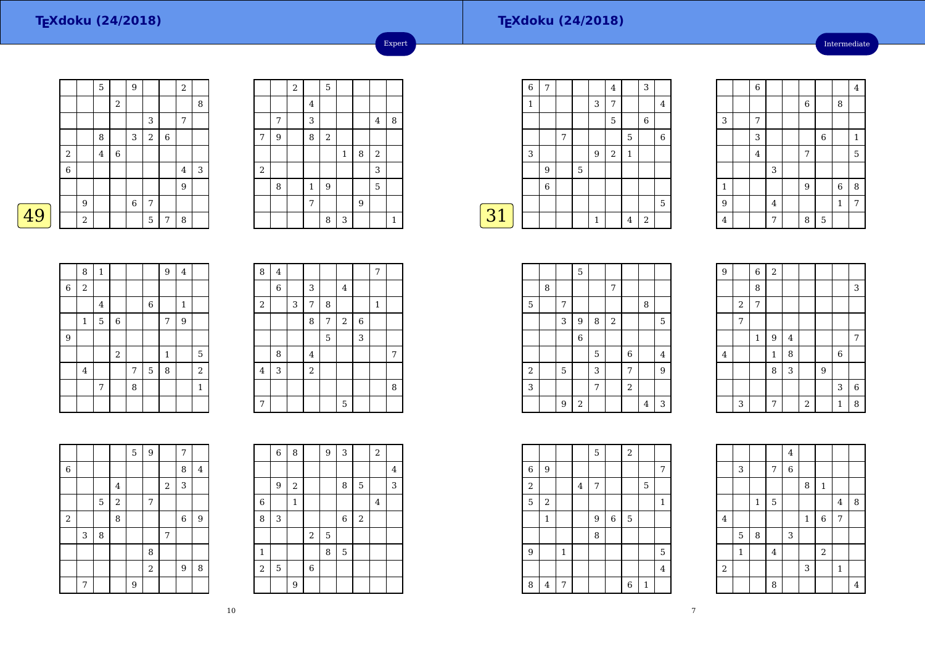Intermediate

|   |             |       | 5              |             | 9      |            |             | $\overline{2}$ |   |
|---|-------------|-------|----------------|-------------|--------|------------|-------------|----------------|---|
|   |             |       |                | 2           |        |            |             |                | 8 |
|   |             |       |                |             |        | 3          |             | 7              |   |
|   |             |       | 8              |             | 3      | $\sqrt{2}$ | $\,$ 6 $\,$ |                |   |
|   | $\sqrt{2}$  |       | $\overline{4}$ | $\,$ 6 $\,$ |        |            |             |                |   |
|   | $\,$ 6 $\,$ |       |                |             |        |            |             | $\overline{4}$ | 3 |
|   |             |       |                |             |        |            |             | 9              |   |
|   |             | 9     |                |             | $\,$ 6 | 7          |             |                |   |
| 9 |             | $\,2$ |                |             |        | 5          | 7           | 8              |   |

|            |   | $\overline{\mathbf{c}}$ |                | 5     |              |   |            |              |
|------------|---|-------------------------|----------------|-------|--------------|---|------------|--------------|
|            |   |                         | $\overline{4}$ |       |              |   |            |              |
|            | 7 |                         | 3              |       |              |   | $\bf 4$    | 8            |
| 7          | 9 |                         | 8              | $\,2$ |              |   |            |              |
|            |   |                         |                |       | $\mathbf{1}$ | 8 | $\sqrt{2}$ |              |
| $\sqrt{2}$ |   |                         |                |       |              |   | 3          |              |
|            | 8 |                         | $\,1\,$        | 9     |              |   | 5          |              |
|            |   |                         | 7              |       |              | 9 |            |              |
|            |   |                         |                | 8     | 3            |   |            | $\mathbf{1}$ |

Expert

|    | $\overline{6}$ | 7              |   |   |              | 4          |              | 3     |       |
|----|----------------|----------------|---|---|--------------|------------|--------------|-------|-------|
|    | 1              |                |   |   | 3            | 7          |              |       | 4     |
|    |                |                |   |   |              | 5          |              | 6     |       |
|    |                |                | 7 |   |              |            | 5            |       | $\,6$ |
|    | 3              |                |   |   | 9            | $\sqrt{2}$ | $\mathbf{1}$ |       |       |
|    |                | 9              |   | 5 |              |            |              |       |       |
|    |                | $\overline{6}$ |   |   |              |            |              |       |       |
|    |                |                |   |   |              |            |              |       | 5     |
| 31 |                |                |   |   | $\mathbf{1}$ |            | 4            | $\,2$ |       |
|    |                |                |   |   |              |            |              |       |       |

|                         | 6              |         |                |                |              | $\overline{4}$ |
|-------------------------|----------------|---------|----------------|----------------|--------------|----------------|
|                         |                |         | $\overline{6}$ |                | 8            |                |
| 3                       | 7              |         |                |                |              |                |
|                         | 3              |         |                | $\overline{6}$ |              | $\mathbf{1}$   |
|                         | $\overline{4}$ |         | 7              |                |              | 5              |
|                         |                | 3       |                |                |              |                |
| $\mathbf 1$             |                |         | 9              |                | $\,$ 6 $\,$  | 8              |
| 9                       |                | $\bf 4$ |                |                | $\mathbf{1}$ | $\overline{7}$ |
| $\overline{\mathbf{4}}$ |                | 7       | 8              | 5              |              |                |

|                  | 8              | $\mathbf 1$ |                |   |             | 9            | $\overline{\mathbf{4}}$ |                |
|------------------|----------------|-------------|----------------|---|-------------|--------------|-------------------------|----------------|
| $\boldsymbol{6}$ | $\overline{2}$ |             |                |   |             |              |                         |                |
|                  |                | $\bf 4$     |                |   | $\,$ 6 $\,$ |              | $\mathbf{1}$            |                |
|                  | 1              | 5           | $\overline{6}$ |   |             | 7            | 9                       |                |
| 9                |                |             |                |   |             |              |                         |                |
|                  |                |             | $\,2$          |   |             | $\mathbf{1}$ |                         | 5              |
|                  | $\overline{4}$ |             |                | 7 | 5           | 8            |                         | $\overline{2}$ |
|                  |                | 7           |                | 8 |             |              |                         | $\mathbf{1}$   |
|                  |                |             |                |   |             |              |                         |                |

| 8                       | $\bf 4$                   |   |                |   |         |             | 7            |   |
|-------------------------|---------------------------|---|----------------|---|---------|-------------|--------------|---|
|                         | 6                         |   | 3              |   | $\bf 4$ |             |              |   |
| $\overline{\mathbf{c}}$ |                           | 3 | 7              | 8 |         |             | $\mathbf{1}$ |   |
|                         |                           |   | 8              | 7 | $\,2$   | $\,$ 6 $\,$ |              |   |
|                         |                           |   |                | 5 |         | 3           |              |   |
|                         | 8                         |   | $\overline{4}$ |   |         |             |              | 7 |
| $\overline{4}$          | $\ensuremath{\mathsf{3}}$ |   | $\,2$          |   |         |             |              |   |
|                         |                           |   |                |   |         |             |              | 8 |
| 7                       |                           |   |                |   | 5       |             |              |   |

|                |   |   |                | 5 | 9     |                         | 7           |                |
|----------------|---|---|----------------|---|-------|-------------------------|-------------|----------------|
| $\overline{6}$ |   |   |                |   |       |                         | 8           | $\overline{4}$ |
|                |   |   | 4              |   |       | $\overline{\mathbf{c}}$ | 3           |                |
|                |   | 5 | $\overline{a}$ |   | 7     |                         |             |                |
| $\sqrt{2}$     |   |   | 8              |   |       |                         | $\,$ 6 $\,$ | 9              |
|                | 3 | 8 |                |   |       | 7                       |             |                |
|                |   |   |                |   | 8     |                         |             |                |
|                |   |   |                |   | $\,2$ |                         | 9           | 8              |
|                | 7 |   |                | 9 |       |                         |             |                |

|                | 6                | 8            |                | 9 | 3 |                | $\overline{\mathbf{c}}$ |                         |
|----------------|------------------|--------------|----------------|---|---|----------------|-------------------------|-------------------------|
|                |                  |              |                |   |   |                |                         | $\overline{\mathbf{4}}$ |
|                | $\boldsymbol{9}$ | $\,2$        |                |   | 8 | 5              |                         | 3                       |
| $\overline{6}$ |                  | $\mathbf{1}$ |                |   |   |                | $\overline{4}$          |                         |
| 8              | 3                |              |                |   | 6 | $\overline{c}$ |                         |                         |
|                |                  |              | $\sqrt{2}$     | 5 |   |                |                         |                         |
| 1              |                  |              |                | 8 | 5 |                |                         |                         |
| $\,2$          | $\mathbf 5$      |              | $\overline{6}$ |   |   |                |                         |                         |
|                |                  | 9            |                |   |   |                |                         |                         |

|                |   |                | 5              |   |       |                |   |   |  |
|----------------|---|----------------|----------------|---|-------|----------------|---|---|--|
|                | 8 |                |                |   | 7     |                |   |   |  |
| $\overline{5}$ |   | 7              |                |   |       |                | 8 |   |  |
|                |   | 3              | 9              | 8 | $\,2$ |                |   | 5 |  |
|                |   |                | $\overline{6}$ |   |       |                |   |   |  |
|                |   |                |                | 5 |       | 6              |   | 4 |  |
| $\overline{c}$ |   | $\overline{5}$ |                | 3 |       | 7              |   | 9 |  |
| 3              |   |                |                | 7 |       | $\overline{2}$ |   |   |  |
|                |   | 9              | $\,2$          |   |       |                | 4 | 3 |  |

| 9       |                | $\,$ 6 $\,$    | $\overline{2}$ |         |       |   |              |                |
|---------|----------------|----------------|----------------|---------|-------|---|--------------|----------------|
|         |                | 8              |                |         |       |   |              | 3              |
|         | $\overline{a}$ | $\overline{7}$ |                |         |       |   |              |                |
|         | 7              |                |                |         |       |   |              |                |
|         |                | $\mathbf 1$    | 9              | $\bf 4$ |       |   |              | 7              |
| $\bf 4$ |                |                | $\mathbf 1$    | 8       |       |   | 6            |                |
|         |                |                | 8              | 3       |       | 9 |              |                |
|         |                |                |                |         |       |   | 3            | $\overline{6}$ |
|         | 3              |                | 7              |         | $\,2$ |   | $\mathbf{1}$ | 8              |

|                |                |              |   | 5 |             | $\overline{\mathbf{c}}$ |              |              |  |
|----------------|----------------|--------------|---|---|-------------|-------------------------|--------------|--------------|--|
| 6              | 9              |              |   |   |             |                         |              | 7            |  |
| $\overline{2}$ |                |              | 4 | 7 |             |                         | 5            |              |  |
| 5              | 2              |              |   |   |             |                         |              | $\mathbf{1}$ |  |
|                | $\mathbf 1$    |              |   | 9 | $\,$ 6 $\,$ | $\mathbf 5$             |              |              |  |
|                |                |              |   | 8 |             |                         |              |              |  |
| 9              |                | $\mathbf{1}$ |   |   |             |                         |              | $\mathbf 5$  |  |
|                |                |              |   |   |             |                         |              | 4            |  |
| 8              | $\overline{4}$ | 7            |   |   |             | 6                       | $\mathbf{1}$ |              |  |

|                |              |              |                         | $\overline{\mathbf{4}}$ |             |                |              |                |
|----------------|--------------|--------------|-------------------------|-------------------------|-------------|----------------|--------------|----------------|
|                | 3            |              | 7                       | 6                       |             |                |              |                |
|                |              |              |                         |                         | 8           | $\mathbf{1}$   |              |                |
|                |              | $\mathbf{1}$ | 5                       |                         |             |                | $\bf 4$      | 8              |
| 4              |              |              |                         |                         | $\mathbf 1$ | $\,6$          | 7            |                |
|                | 5            | 8            |                         | $\sqrt{3}$              |             |                |              |                |
|                | $\mathbf{1}$ |              | $\overline{\mathbf{4}}$ |                         |             | $\overline{2}$ |              |                |
| $\overline{a}$ |              |              |                         |                         | 3           |                | $\mathbf{1}$ |                |
|                |              |              | 8                       |                         |             |                |              | $\overline{4}$ |